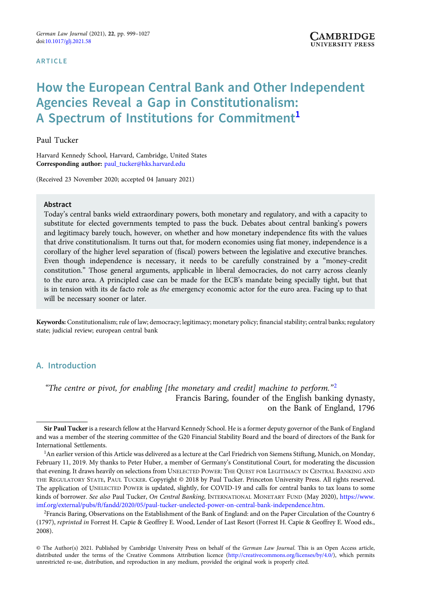#### **ARTICLE**

# How the European Central Bank and Other Independent Agencies Reveal a Gap in Constitutionalism: A Spectrum of Institutions for Commitment<sup>1</sup>

## Paul Tucker

Harvard Kennedy School, Harvard, Cambridge, United States Corresponding author: [paul\\_tucker@hks.harvard.edu](mailto:paul_tucker@hks.harvard.edu)

(Received 23 November 2020; accepted 04 January 2021)

#### Abstract

Today's central banks wield extraordinary powers, both monetary and regulatory, and with a capacity to substitute for elected governments tempted to pass the buck. Debates about central banking's powers and legitimacy barely touch, however, on whether and how monetary independence fits with the values that drive constitutionalism. It turns out that, for modern economies using fiat money, independence is a corollary of the higher level separation of (fiscal) powers between the legislative and executive branches. Even though independence is necessary, it needs to be carefully constrained by a "money-credit constitution." Those general arguments, applicable in liberal democracies, do not carry across cleanly to the euro area. A principled case can be made for the ECB's mandate being specially tight, but that is in tension with its de facto role as the emergency economic actor for the euro area. Facing up to that will be necessary sooner or later.

Keywords: Constitutionalism; rule of law; democracy; legitimacy; monetary policy; financial stability; central banks; regulatory state; judicial review; european central bank

# A. Introduction

"The centre or pivot, for enabling [the monetary and credit] machine to perform."<sup>2</sup> Francis Baring, founder of the English banking dynasty, on the Bank of England, 1796

Sir Paul Tucker is a research fellow at the Harvard Kennedy School. He is a former deputy governor of the Bank of England and was a member of the steering committee of the G20 Financial Stability Board and the board of directors of the Bank for International Settlements.

<sup>&</sup>lt;sup>1</sup>An earlier version of this Article was delivered as a lecture at the Carl Friedrich von Siemens Stiftung, Munich, on Monday, February 11, 2019. My thanks to Peter Huber, a member of Germany's Constitutional Court, for moderating the discussion that evening. It draws heavily on selections from UNELECTED POWER: THE QUEST FOR LEGITIMACY IN CENTRAL BANKING AND THE REGULATORY STATE, PAUL TUCKER. Copyright © 2018 by Paul Tucker. Princeton University Press. All rights reserved. The application of UNELECTED POWER is updated, slightly, for COVID-19 and calls for central banks to tax loans to some kinds of borrower. See also Paul Tucker, On Central Banking, INTERNATIONAL MONETARY FUND (May 2020), [https://www.](https://www.imf.org/external/pubs/ft/fandd/2020/05/paul-tucker-unelected-power-on-central-bank-independence.htm) [imf.org/external/pubs/ft/fandd/2020/05/paul-tucker-unelected-power-on-central-bank-independence.htm.](https://www.imf.org/external/pubs/ft/fandd/2020/05/paul-tucker-unelected-power-on-central-bank-independence.htm)

<sup>2</sup> Francis Baring, Observations on the Establishment of the Bank of England: and on the Paper Circulation of the Country 6 (1797), reprinted in Forrest H. Capie & Geoffrey E. Wood, Lender of Last Resort (Forrest H. Capie & Geoffrey E. Wood eds., 2008).

<sup>©</sup> The Author(s) 2021. Published by Cambridge University Press on behalf of the German Law Journal. This is an Open Access article, distributed under the terms of the Creative Commons Attribution licence [\(http://creativecommons.org/licenses/by/4.0/](http://creativecommons.org/licenses/by/4.0/)), which permits unrestricted re-use, distribution, and reproduction in any medium, provided the original work is properly cited.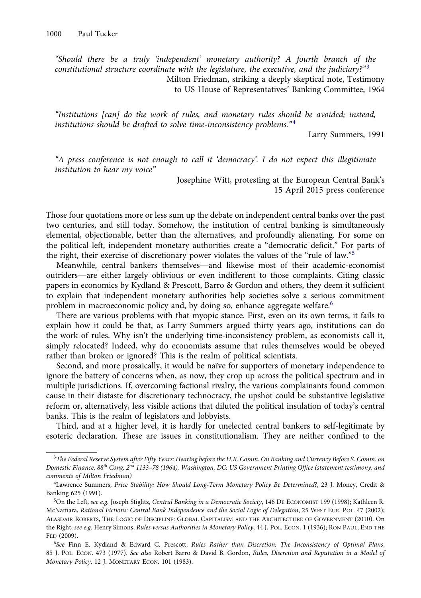"Should there be a truly 'independent' monetary authority? A fourth branch of the constitutional structure coordinate with the legislature, the executive, and the judiciary?"<sup>3</sup> Milton Friedman, striking a deeply skeptical note, Testimony

to US House of Representatives' Banking Committee, 1964

"Institutions [can] do the work of rules, and monetary rules should be avoided; instead, institutions should be drafted to solve time-inconsistency problems." $4$ 

Larry Summers, 1991

"A press conference is not enough to call it 'democracy'. I do not expect this illegitimate institution to hear my voice"

> Josephine Witt, protesting at the European Central Bank's 15 April 2015 press conference

Those four quotations more or less sum up the debate on independent central banks over the past two centuries, and still today. Somehow, the institution of central banking is simultaneously elemental, objectionable, better than the alternatives, and profoundly alienating. For some on elemental, objectionable, better than the atternatives, and profoundly alternating. For some on<br>the political left, independent monetary authorities create a "democratic deficit." For parts of<br>the right, their exercise of the right, their exercise of discretionary power violates the values of the "rule of law."<sup>5</sup> S centuries, and still today. Somehow, the institution of central banking is simultaneously<br>mental, objectionable, better than the alternatives, and profoundly alienating. For some on<br>political left, independent monetary a

papers in economics by Kydland & Prescott, Barro & Gordon and others, they deem it sufficient to explain that independent monetary authorities help societies solve a serious commitment problem in macroeconomic policy and, by doing so, enhance aggregate welfare.<sup>6</sup>

There are various problems with that myopic stance. First, even on its own terms, it fails to explain how it could be that, as Larry Summers argued thirty years ago, institutions can do the work of rules. Why isn't the underlying time-inconsistency problem, as economists call it, simply relocated? Indeed, why do economists assume that rules themselves would be obeyed rather than broken or ignored? This is the realm of political scientists.

Second, and more prosaically, it would be naïve for supporters of monetary independence to ignore the battery of concerns when, as now, they crop up across the political spectrum and in multiple jurisdictions. If, overcoming factional rivalry, the various complainants found common cause in their distaste for discretionary technocracy, the upshot could be substantive legislative reform or, alternatively, less visible actions that diluted the political insulation of today's central banks. This is the realm of legislators and lobbyists.

Third, and at a higher level, it is hardly for unelected central bankers to self-legitimate by esoteric declaration. These are issues in constitutionalism. They are neither confined to the

<sup>3</sup> The Federal Reserve System after Fifty Years: Hearing before the H.R. Comm. On Banking and Currency Before S. Comm. on Domestic Finance, 88<sup>th</sup> Cong. 2<sup>nd</sup> 1133-78 (1964), Washington, DC: US Government Printing Office (statement testimony, and comments of Milton Friedman)

<sup>4</sup> Lawrence Summers, Price Stability: How Should Long-Term Monetary Policy Be Determined?, 23 J. Money, Credit & Banking 625 (1991).

<sup>&</sup>lt;sup>5</sup>On the Left, see e.g. Joseph Stiglitz, Central Banking in a Democratic Society, 146 DE ECONOMIST 199 (1998); Kathleen R. McNamara, Rational Fictions: Central Bank Independence and the Social Logic of Delegation, 25 WEST EUR. POL. 47 (2002); ALASDAIR ROBERTS, THE LOGIC OF DISCIPLINE: GLOBAL CAPITALISM AND THE ARCHITECTURE OF GOVERNMENT (2010). On the Right, see e.g. Henry Simons, Rules versus Authorities in Monetary Policy, 44 J. POL. ECON. 1 (1936); RON PAUL, END THE FED (2009).

<sup>6</sup> See Finn E. Kydland & Edward C. Prescott, Rules Rather than Discretion: The Inconsistency of Optimal Plans, 85 J. POL. ECON. 473 (1977). See also Robert Barro & David B. Gordon, Rules, Discretion and Reputation in a Model of Monetary Policy, 12 J. MONETARY ECON. 101 (1983).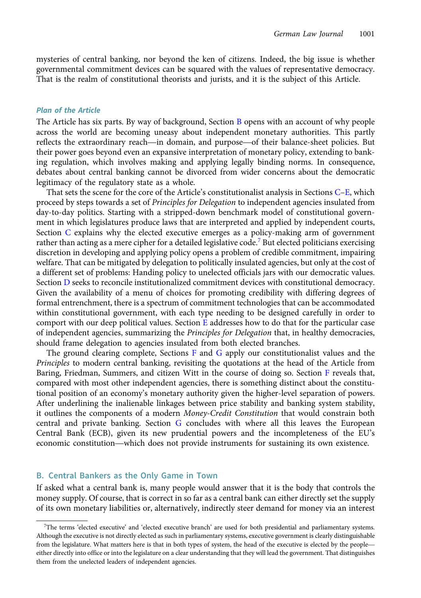<span id="page-2-0"></span>mysteries of central banking, nor beyond the ken of citizens. Indeed, the big issue is whether governmental commitment devices can be squared with the values of representative democracy. That is the realm of constitutional theorists and jurists, and it is the subject of this Article.

## Plan of the Article

The Article has six parts. By way of background, Section B opens with an account of why people across the world are becoming uneasy about independent monetary authorities. This partly **Plan of the Article**<br>The Article has six parts. By way of background, Section B opens with an account of why people<br>across the world are becoming uneasy about independent monetary authorities. This partly<br>reflects the ext their power goes beyond even an expansive interpretation of monetary policy, extending to banking regulation, which involves making and applying legally binding norms. In consequence, debates about central banking cannot be divorced from wider concerns about the democratic legitimacy of the regulatory state as a whole.

That sets the scene for the core of the Article's constitutionalist analysis in Sections [C](#page-6-0)–[E,](#page-13-0) which proceed by steps towards a set of Principles for Delegation to independent agencies insulated from day-to-day politics. Starting with a stripped-down benchmark model of constitutional government in which legislatures produce laws that are interpreted and applied by independent courts, Section [C](#page-6-0) explains why the elected executive emerges as a policy-making arm of government rather than acting as a mere cipher for a detailed legislative code.<sup>7</sup> But elected politicians exercising discretion in developing and applying policy opens a problem of credible commitment, impairing welfare. That can be mitigated by delegation to politically insulated agencies, but only at the cost of a different set of problems: Handing policy to unelected officials jars with our democratic values. Section [D](#page-8-0) seeks to reconcile institutionalized commitment devices with constitutional democracy. Given the availability of a menu of choices for promoting credibility with differing degrees of formal entrenchment, there is a spectrum of commitment technologies that can be accommodated within constitutional government, with each type needing to be designed carefully in order to comport with our deep political values. Section  $E$  addresses how to do that for the particular case of independent agencies, summarizing the Principles for Delegation that, in healthy democracies, should frame delegation to agencies insulated from both elected branches.

The ground clearing complete, Sections [F](#page-18-0) and [G](#page-24-0) apply our constitutionalist values and the Principles to modern central banking, revisiting the quotations at the head of the Article from Baring, Friedman, Summers, and citizen Witt in the course of doing so. Section [F](#page-18-0) reveals that, compared with most other independent agencies, there is something distinct about the constitutional position of an economy's monetary authority given the higher-level separation of powers. After underlining the inalienable linkages between price stability and banking system stability, it outlines the components of a modern Money-Credit Constitution that would constrain both central and private banking. Section [G](#page-24-0) concludes with where all this leaves the European Central Bank (ECB), given its new prudential powers and the incompleteness of the EU's economic constitution—which does not provide instruments for sustaining its own existence.

## B. Central Bankers as the Only Game in Town

If asked what a central bank is, many people would answer that it is the body that controls the money supply. Of course, that is correct in so far as a central bank can either directly set the supply of its own monetary liabilities or, alternatively, indirectly steer demand for money via an interest

<sup>7</sup> The terms 'elected executive' and 'elected executive branch' are used for both presidential and parliamentary systems. Although the executive is not directly elected as such in parliamentary systems, executive government is clearly distinguishable The terms 'elected executive' and 'elected executive branch' are used for both presidential and parliamentary systems.<br>Although the executive is not directly elected as such in parliamentary systems, executive government i either directly into office or into the legislature on a clear understanding that they will lead the government. That distinguishes them from the unelected leaders of independent agencies.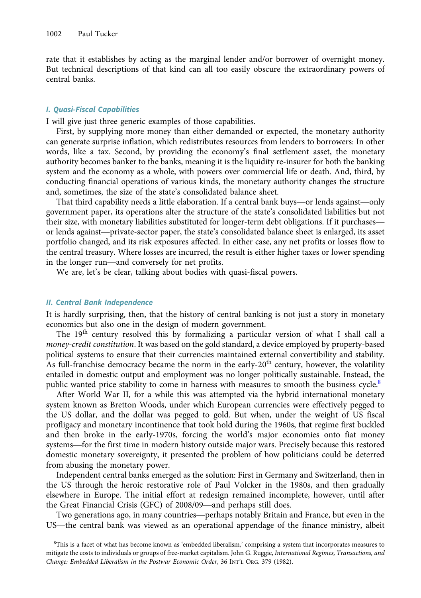rate that it establishes by acting as the marginal lender and/or borrower of overnight money. But technical descriptions of that kind can all too easily obscure the extraordinary powers of central banks.

## I. Quasi-Fiscal Capabilities

I will give just three generic examples of those capabilities.

First, by supplying more money than either demanded or expected, the monetary authority can generate surprise inflation, which redistributes resources from lenders to borrowers: In other words, like a tax. Second, by providing the economy's final settlement asset, the monetary authority becomes banker to the banks, meaning it is the liquidity re-insurer for both the banking system and the economy as a whole, with powers over commercial life or death. And, third, by conducting financial operations of various kinds, the monetary authority changes the structure and, sometimes, the size of the state's consolidated balance sheet.

That third capability needs a little elaboration. If a central bank buys—or lends against—only government paper, its operations alter the structure of the state's consolidated liabilities but not Conducting infancial operations of various kinds, the monetary authority changes the structure<br>and, sometimes, the size of the state's consolidated balance sheet.<br>That third capability needs a little elaboration. If a cent and, sometimes, the size of the state's consolidated balance sheet.<br>That third capability needs a little elaboration. If a central bank buys—or lends against—only<br>government paper, its operations alter the structure of the portfolio changed, and its risk exposures affected. In either case, any net profits or losses flow to the central treasury. Where losses are incurred, the result is either higher taxes or lower spending in the longer with monetary habilities substituted for<br>or lends against—private-sector paper, the state's c<br>portfolio changed, and its risk exposures affected.<br>the central treasury. Where losses are incurred, the<br>in the lo

We are, let's be clear, talking about bodies with quasi-fiscal powers.

#### II. Central Bank Independence

It is hardly surprising, then, that the history of central banking is not just a story in monetary economics but also one in the design of modern government.

The  $19<sup>th</sup>$  century resolved this by formalizing a particular version of what I shall call a money-credit constitution. It was based on the gold standard, a device employed by property-based political systems to ensure that their currencies maintained external convertibility and stability. As full-franchise democracy became the norm in the early- $20<sup>th</sup>$  century, however, the volatility entailed in domestic output and employment was no longer politically sustainable. Instead, the public wanted price stability to come in harness with measures to smooth the business cycle.<sup>8</sup>

After World War II, for a while this was attempted via the hybrid international monetary system known as Bretton Woods, under which European currencies were effectively pegged to the US dollar, and the dollar was pegged to gold. But when, under the weight of US fiscal profligacy and monetary incontinence that took hold during the 1960s, that regime first buckled and then broke in the early-1970s, forcing the world's major economies onto fiat money systems—for the first time in modern history outside major wars. Precisely because this restored domestic monetary sovereignty, it presented the problem of how politicians could be deterred from abusing the monetary power.

Independent central banks emerged as the solution: First in Germany and Switzerland, then in the US through the heroic restorative role of Paul Volcker in the 1980s, and then gradually elsewhere in Europe. The initial effort at redesign remained incomplete, however, until after the Great Financial Crisis (GFC) of 2008/09—and perhaps still does. That is through the heroic restorative role of Paul Volcker in the 1980s, and then gradually<br>Counter the heroic restorative role of Paul Volcker in the 1980s, and then gradually<br>ewhere in Europe. The initial effort at rede

Two generations ago, in many countries—perhaps notably Britain and France, but even in the US—the central bank was viewed as an operational appendage of the finance ministry, albeit

<sup>8</sup> This is a facet of what has become known as 'embedded liberalism,' comprising a system that incorporates measures to mitigate the costs to individuals or groups of free-market capitalism. John G. Ruggie, International Regimes, Transactions, and Change: Embedded Liberalism in the Postwar Economic Order, 36 INT'L ORG. 379 (1982).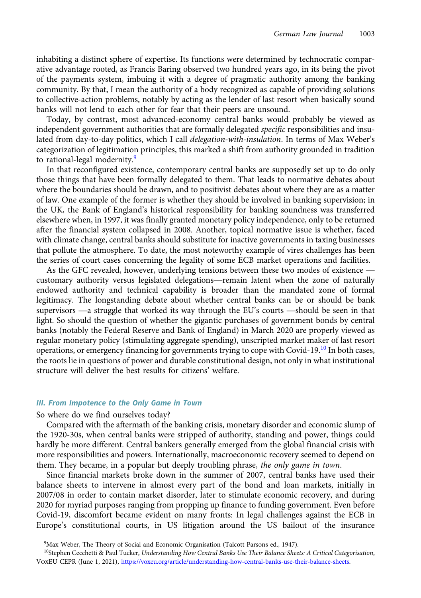inhabiting a distinct sphere of expertise. Its functions were determined by technocratic comparative advantage rooted, as Francis Baring observed two hundred years ago, in its being the pivot of the payments system, imbuing it with a degree of pragmatic authority among the banking community. By that, I mean the authority of a body recognized as capable of providing solutions to collective-action problems, notably by acting as the lender of last resort when basically sound banks will not lend to each other for fear that their peers are unsound.

Today, by contrast, most advanced-economy central banks would probably be viewed as independent government authorities that are formally delegated specific responsibilities and insulated from day-to-day politics, which I call *delegation-with-insulation*. In terms of Max Weber's categorization of legitimation principles, this marked a shift from authority grounded in tradition to rational-legal modernity.<sup>9</sup>

In that reconfigured existence, contemporary central banks are supposedly set up to do only those things that have been formally delegated to them. That leads to normative debates about where the boundaries should be drawn, and to positivist debates about where they are as a matter of law. One example of the former is whether they should be involved in banking supervision; in the UK, the Bank of England's historical responsibility for banking soundness was transferred elsewhere when, in 1997, it was finally granted monetary policy independence, only to be returned after the financial system collapsed in 2008. Another, topical normative issue is whether, faced with climate change, central banks should substitute for inactive governments in taxing businesses that pollute the atmosphere. To date, the most noteworthy example of vires challenges has been the series of court cases concerning the legality of some ECB market operations and facilities. Free mancial system conapsed in 2008. Another, topical normative issue is whether, laced<br>th climate change, central banks should substitute for inactive governments in taxing businesses<br>t pollute the atmosphere. To date, t with climate change, central banks should substitute for mactive governments in taxing businesses<br>that pollute the atmosphere. To date, the most noteworthy example of vires challenges has been<br>the series of court cases con

endowed authority and technical capability is broader than the mandated zone of formal legitimacy. The longstanding debate about whether central banks can be or should be bank As the GFC revealed, however, underlying tensions between these two modes of existence —<br>customary authority versus legislated delegations—remain latent when the zone of naturally<br>endowed authority and technical capability light. So should the question of whether the gigantic purchases of government bonds by central banks (notably the Federal Reserve and Bank of England) in March 2020 are properly viewed as regular monetary policy (stimulating aggregate spending), unscripted market maker of last resort operations, or emergency financing for governments trying to cope with Covid-19.<sup>10</sup> In both cases, the roots lie in questions of power and durable constitutional design, not only in what institutional structure will deliver the best results for citizens' welfare.

#### III. From Impotence to the Only Game in Town

## So where do we find ourselves today?

Compared with the aftermath of the banking crisis, monetary disorder and economic slump of the 1920-30s, when central banks were stripped of authority, standing and power, things could hardly be more different. Central bankers generally emerged from the global financial crisis with more responsibilities and powers. Internationally, macroeconomic recovery seemed to depend on them. They became, in a popular but deeply troubling phrase, the only game in town.

Since financial markets broke down in the summer of 2007, central banks have used their balance sheets to intervene in almost every part of the bond and loan markets, initially in 2007/08 in order to contain market disorder, later to stimulate economic recovery, and during 2020 for myriad purposes ranging from propping up finance to funding government. Even before Covid-19, discomfort became evident on many fronts: In legal challenges against the ECB in Europe's constitutional courts, in US litigation around the US bailout of the insurance

<sup>&</sup>lt;sup>9</sup>Max Weber, The Theory of Social and Economic Organisation (Talcott Parsons ed., 1947).

<sup>&</sup>lt;sup>10</sup>Stephen Cecchetti & Paul Tucker, Understanding How Central Banks Use Their Balance Sheets: A Critical Categorisation, VOXEU CEPR (June 1, 2021), <https://voxeu.org/article/understanding-how-central-banks-use-their-balance-sheets>.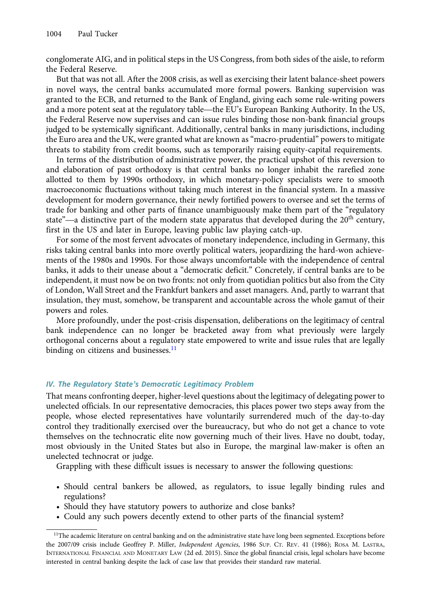conglomerate AIG, and in political steps in the US Congress, from both sides of the aisle, to reform the Federal Reserve.

But that was not all. After the 2008 crisis, as well as exercising their latent balance-sheet powers in novel ways, the central banks accumulated more formal powers. Banking supervision was granted to the ECB, and returned to the Bank of England, giving each some rule-writing powers<br>and a more potent seat at the regulatory table—the EU's European Banking Authority. In the US, and a more potent seat at the regulatory table—the EU's European Banking supervision was granted to the ECB, and returned to the Bank of England, giving each some rule-writing powers and a more potent seat at the regulator the Federal Reserve now supervises and can issue rules binding those non-bank financial groups judged to be systemically significant. Additionally, central banks in many jurisdictions, including the Euro area and the UK, were granted what are known as "macro-prudential" powers to mitigate threats to stability from credit booms, such as temporarily raising equity-capital requirements.

In terms of the distribution of administrative power, the practical upshot of this reversion to and elaboration of past orthodoxy is that central banks no longer inhabit the rarefied zone allotted to them by 1990s orthodoxy, in which monetary-policy specialists were to smooth macroeconomic fluctuations without taking much interest in the financial system. In a massive development for modern governance, their newly fortified powers to oversee and set the terms of trade for banking and other parts of finance unambiguously make them part of the "regulatory state and the modern state in the modern state apparatus were to smooth macroeconomic fluctuations without taking much interest in the financial system. In a massive development for modern governance, their newly fortified first in the US and later in Europe, leaving public law playing catch-up.

For some of the most fervent advocates of monetary independence, including in Germany, this risks taking central banks into more overtly political waters, jeopardizing the hard-won achievements of the 1980s and 1990s. For those always uncomfortable with the independence of central banks, it adds to their unease about a "democratic deficit." Concretely, if central banks are to be independent, it must now be on two fronts: not only from quotidian politics but also from the City of London, Wall Street and the Frankfurt bankers and asset managers. And, partly to warrant that insulation, they must, somehow, be transparent and accountable across the whole gamut of their powers and roles.

More profoundly, under the post-crisis dispensation, deliberations on the legitimacy of central bank independence can no longer be bracketed away from what previously were largely orthogonal concerns about a regulatory state empowered to write and issue rules that are legally binding on citizens and businesses. $^{11}$ 

## IV. The Regulatory State's Democratic Legitimacy Problem

That means confronting deeper, higher-level questions about the legitimacy of delegating power to unelected officials. In our representative democracies, this places power two steps away from the people, whose elected representatives have voluntarily surrendered much of the day-to-day control they traditionally exercised over the bureaucracy, but who do not get a chance to vote themselves on the technocratic elite now governing much of their lives. Have no doubt, today, most obviously in the United States but also in Europe, the marginal law-maker is often an unelected technocrat or judge.

Grappling with these difficult issues is necessary to answer the following questions:

- Should central bankers be allowed, as regulators, to issue legally binding rules and regulations?
- Should they have statutory powers to authorize and close banks?
- Could any such powers decently extend to other parts of the financial system?

<sup>&</sup>lt;sup>11</sup>The academic literature on central banking and on the administrative state have long been segmented. Exceptions before the 2007/09 crisis include Geoffrey P. Miller, Independent Agencies, 1986 SUP. CT. REV. 41 (1986); ROSA M. LASTRA, INTERNATIONAL FINANCIAL AND MONETARY LAW (2d ed. 2015). Since the global financial crisis, legal scholars have become interested in central banking despite the lack of case law that provides their standard raw material.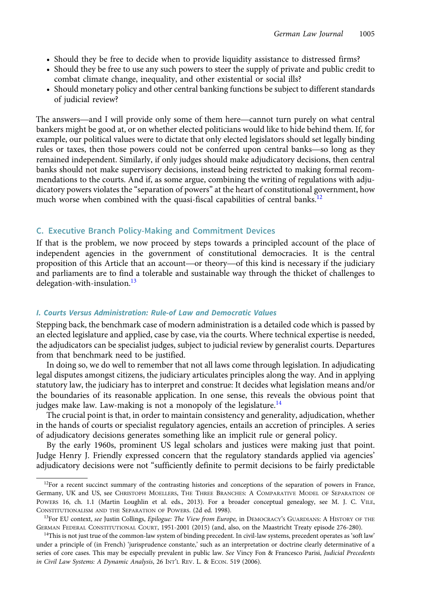- <span id="page-6-0"></span>• Should they be free to decide when to provide liquidity assistance to distressed firms?
- Should they be free to use any such powers to steer the supply of private and public credit to combat climate change, inequality, and other existential or social ills?
- Should monetary policy and other central banking functions be subject to different standards The answers—and I will provide only some of them here—cannot turn purely on what central of judicial review?

bankers might be good at, or on whether elected politicians would like to hide behind them. If, for example, our political values were to dictate that only elected legislators should set legally binding The answers—and I will provide only some of them here—cannot turn purely on what central<br>bankers might be good at, or on whether elected politicians would like to hide behind them. If, for<br>example, our political values wer remained independent. Similarly, if only judges should make adjudicatory decisions, then central banks should not make supervisory decisions, instead being restricted to making formal recommendations to the courts. And if, as some argue, combining the writing of regulations with adjudicatory powers violates the "separation of powers" at the heart of constitutional government, how much worse when combined with the quasi-fiscal capabilities of central banks.<sup>12</sup>

# C. Executive Branch Policy-Making and Commitment Devices

If that is the problem, we now proceed by steps towards a principled account of the place of independent agencies in the government of constitutional democracies. It is the central C. Executive Branch Policy-Making and Commitment Devices<br>If that is the problem, we now proceed by steps towards a principled account of the place of<br>independent agencies in the government of constitutional democracies. It and parliaments are to find a tolerable and sustainable way through the thicket of challenges to delegation-with-insulation. $13$ 

## I. Courts Versus Administration: Rule-of Law and Democratic Values

Stepping back, the benchmark case of modern administration is a detailed code which is passed by an elected legislature and applied, case by case, via the courts. Where technical expertise is needed, the adjudicators can be specialist judges, subject to judicial review by generalist courts. Departures from that benchmark need to be justified.

In doing so, we do well to remember that not all laws come through legislation. In adjudicating legal disputes amongst citizens, the judiciary articulates principles along the way. And in applying statutory law, the judiciary has to interpret and construe: It decides what legislation means and/or the boundaries of its reasonable application. In one sense, this reveals the obvious point that judges make law. Law-making is not a monopoly of the legislature.<sup>14</sup>

The crucial point is that, in order to maintain consistency and generality, adjudication, whether in the hands of courts or specialist regulatory agencies, entails an accretion of principles. A series of adjudicatory decisions generates something like an implicit rule or general policy.

By the early 1960s, prominent US legal scholars and justices were making just that point. Judge Henry J. Friendly expressed concern that the regulatory standards applied via agencies' adjudicatory decisions were not "sufficiently definite to permit decisions to be fairly predictable

 $12$ For a recent succinct summary of the contrasting histories and conceptions of the separation of powers in France, Germany, UK and US, see CHRISTOPH MOELLERS, THE THREE BRANCHES: A COMPARATIVE MODEL OF SEPARATION OF POWERS 16, ch. 1.1 (Martin Loughlin et al. eds., 2013). For a broader conceptual genealogy, see M. J. C. VILE, CONSTITUTIONALISM AND THE SEPARATION OF POWERS. (2d ed. 1998).

<sup>&</sup>lt;sup>13</sup>For EU context, see Justin Collings, Epilogue: The View from Europe, in DEMOCRACY'S GUARDIANS: A HISTORY OF THE GERMAN FEDERAL CONSTITUTIONAL COURT, 1951-2001 (2015) (and, also, on the Maastricht Treaty episode 276-280).

 $14$ This is not just true of the common-law system of binding precedent. In civil-law systems, precedent operates as 'soft law' under a principle of (in French) 'jurisprudence constante,' such as an interpretation or doctrine clearly determinative of a series of core cases. This may be especially prevalent in public law. See Vincy Fon & Francesco Parisi, Judicial Precedents in Civil Law Systems: A Dynamic Analysis, 26 INT'L REV. L. & ECON. 519 (2006).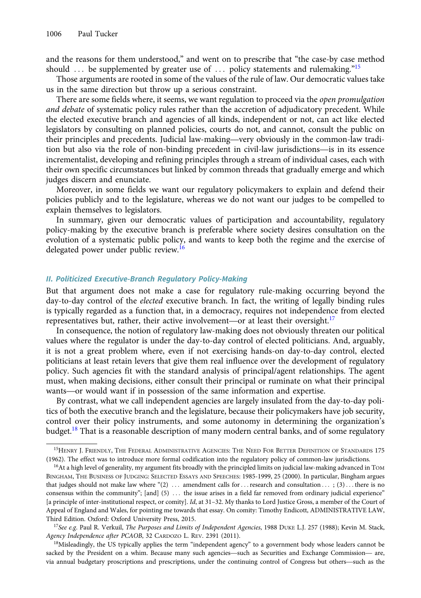and the reasons for them understood," and went on to prescribe that "the case-by case method should  $\ldots$  be supplemented by greater use of  $\ldots$  policy statements and rulemaking."<sup>15</sup>

Those arguments are rooted in some of the values of the rule of law. Our democratic values take us in the same direction but throw up a serious constraint.

There are some fields where, it seems, we want regulation to proceed via the *open promulgation* and debate of systematic policy rules rather than the accretion of adjudicatory precedent. While the elected executive branch and agencies of all kinds, independent or not, can act like elected legislators by consulting on planned policies, courts do not, and cannot, consult the public on There are some helds where, it seems, we want regulation to proceed via the *open promugation*<br>and debate of systematic policy rules rather than the accretion of adjudicatory precedent. While<br>the elected executive branch a and debate of systematic policy rules rather than the accretion of adjudicatory precedent. While<br>the elected executive branch and agencies of all kinds, independent or not, can act like elected<br>legislators by consulting on incrementalist, developing and refining principles through a stream of individual cases, each with their own specific circumstances but linked by common threads that gradually emerge and which judges discern and enunciate.

Moreover, in some fields we want our regulatory policymakers to explain and defend their policies publicly and to the legislature, whereas we do not want our judges to be compelled to explain themselves to legislators.

In summary, given our democratic values of participation and accountability, regulatory policy-making by the executive branch is preferable where society desires consultation on the evolution of a systematic public policy, and wants to keep both the regime and the exercise of delegated power under public review.<sup>16</sup>

## II. Politicized Executive-Branch Regulatory Policy-Making

But that argument does not make a case for regulatory rule-making occurring beyond the day-to-day control of the *elected* executive branch. In fact, the writing of legally binding rules is typically regarded as a function that, in a democracy, requires not independence from elected But that argument does not make a case for regulatory rule-making occurrinday-to-day control of the *elected* executive branch. In fact, the writing of legally is typically regarded as a function that, in a democracy, requ

In consequence, the notion of regulatory law-making does not obviously threaten our political values where the regulator is under the day-to-day control of elected politicians. And, arguably, it is not a great problem where, even if not exercising hands-on day-to-day control, elected politicians at least retain levers that give them real influence over the development of regulatory policy. Such agencies fit with the standard analysis of principal/agent relationships. The agent must, when making decisions, either consult their principal or ruminate on what their principal It is not a great problem where, even if not exercising hands-on day-to-day<br>politicians at least retain levers that give them real influence over the developm<br>policy. Such agencies fit with the standard analysis of princip

By contrast, what we call independent agencies are largely insulated from the day-to-day politics of both the executive branch and the legislature, because their policymakers have job security, control over their policy instruments, and some autonomy in determining the organization's budget.<sup>18</sup> That is a reasonable description of many modern central banks, and of some regulatory

<sup>15</sup>HENRY J. FRIENDLY, THE FEDERAL ADMINISTRATIVE AGENCIES: THE NEED FOR BETTER DEFINITION OF STANDARDS 175 (1962). The effect was to introduce more formal codification into the regulatory policy of common-law jurisdictions.

 $16$ At a high level of generality, my argument fits broadly with the principled limits on judicial law-making advanced in TOM BINGHAM, THE BUSINESS OF JUDGING: SELECTED ESSAYS AND SPEECHES: 1985-1999, 25 (2000). In particular, Bingham argues that judges should not make law where "(2) ... amendment calls for...research and consultation ...; (3) ... there is no consensus within the community";  $[and]$   $(5)$  ... the issue arises in a field far removed from ordinary judicial experience" [a principle of inter-institutional respect, or comity]. Id, at 31-32. My thanks to Lord Justice Gross, a member of the Court of Appeal of England and Wales, for pointing me towards that essay. On comity: Timothy Endicott, ADMINISTRATIVE LAW, Third Edition. Oxford: Oxford University Press, 2015.

<sup>&</sup>lt;sup>17</sup>See e.g. Paul R. Verkuil, The Purposes and Limits of Independent Agencies, 1988 DUKE L.J. 257 (1988); Kevin M. Stack, Agency Independence after PCAOB, 32 CARDOZO L. REV. 2391 (2011).

<sup>&</sup>lt;sup>18</sup>Misleadingly, the US typically applies the term "independent agency" to a government body whose leaders cannot be <sup>17</sup>See e.g. Paul R. Verkuil, *The Purposes and Limits of Independent Agencies*, 1988 DUKE L.J. 257 (1988); Kevin M. Stack.<br>Agency Independence after PCAOB, 32 CARDOZO L. REV. 2391 (2011).<br><sup>18</sup>Misleadingly, the US typical *Agency Independence after PCAOB*, 32 CARDOZO L. REV. 2391 (2011).<br><sup>18</sup>Misleadingly, the US typically applies the term "independent agency" to a government body whose leaders cannot be<br>sacked by the President on a whim. Be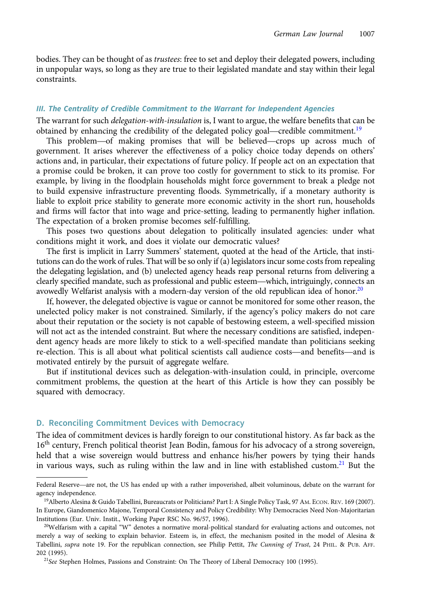<span id="page-8-0"></span>bodies. They can be thought of as *trustees*: free to set and deploy their delegated powers, including in unpopular ways, so long as they are true to their legislated mandate and stay within their legal constraints.

#### III. The Centrality of Credible Commitment to the Warrant for Independent Agencies

The warrant for such delegation-with-insulation is, I want to argue, the welfare benefits that can be obtained by enhancing the credibility of the delegated policy goal—credible commitment.<sup>19</sup><br>This problem—of making promises that will be believed—crops up across much of The Centrality of Credible Commitment to the Warrant for Independent Agencies<br>e warrant for such *delegation-with-insulation* is, I want to argue, the welfare benefits that can be<br>tained by enhancing the credibility of the

government. It arises wherever the effectiveness of a policy choice today depends on others' actions and, in particular, their expectations of future policy. If people act on an expectation that a promise could be broken, it can prove too costly for government to stick to its promise. For example, by living in the floodplain households might force government to break a pledge not to build expensive infrastructure preventing floods. Symmetrically, if a monetary authority is liable to exploit price stability to generate more economic activity in the short run, households and firms will factor that into wage and price-setting, leading to permanently higher inflation. The expectation of a broken promise becomes self-fulfilling.

This poses two questions about delegation to politically insulated agencies: under what conditions might it work, and does it violate our democratic values?

The first is implicit in Larry Summers' statement, quoted at the head of the Article, that institutions can do the work of rules. That will be so only if (a) legislators incur some costs from repealing the delegating legislation, and (b) unelected agency heads reap personal returns from delivering a clearly specified mandate, such as professional and public esteem—which, intriguingly, connects an avowedly Welfarist analysis with a modern-day version of the old republican idea of honor.<sup>20</sup>

If, however, the delegated objective is vague or cannot be monitored for some other reason, the unelected policy maker is not constrained. Similarly, if the agency's policy makers do not care about their reputation or the society is not capable of bestowing esteem, a well-specified mission will not act as the intended constraint. But where the necessary conditions are satisfied, independent agency heads are more likely to stick to a well-specified mandate than politicians seeking re-election. This is all about what political scientists call audience costs—and benefits—and is motivated entirely by the pursuit of aggregate welfare.

But if institutional devices such as delegation-with-insulation could, in principle, overcome commitment problems, the question at the heart of this Article is how they can possibly be squared with democracy.

## D. Reconciling Commitment Devices with Democracy

The idea of commitment devices is hardly foreign to our constitutional history. As far back as the 16<sup>th</sup> century, French political theorist Jean Bodin, famous for his advocacy of a strong sovereign, held that a wise sovereign would buttress and enhance his/her powers by tying their hands in various ways, such as ruling within the law and in line with established custom.<sup>21</sup> But the held that a wise sovereign would buttress and enhance his/her powers by tying their hands<br>in various ways, such as ruling within the law and in line with established custom.<sup>21</sup> But the<br>Federal Reserve—are not, the US has

agency independence.

<sup>19</sup>Alberto Alesina & Guido Tabellini, Bureaucrats or Politicians? Part I: A Single Policy Task, 97 AM. ECON. REV. 169 (2007). In Europe, Giandomenico Majone, Temporal Consistency and Policy Credibility: Why Democracies Need Non-Majoritarian Institutions (Eur. Univ. Instit., Working Paper RSC No. 96/57, 1996).

 $^{20}$ Welfarism with a capital "W" denotes a normative moral-political standard for evaluating actions and outcomes, not merely a way of seeking to explain behavior. Esteem is, in effect, the mechanism posited in the model of Alesina & Tabellini, supra note 19. For the republican connection, see Philip Pettit, The Cunning of Trust, 24 PHIL. & PUB. AFF. 202 (1995).

<sup>&</sup>lt;sup>21</sup>See Stephen Holmes, Passions and Constraint: On The Theory of Liberal Democracy 100 (1995).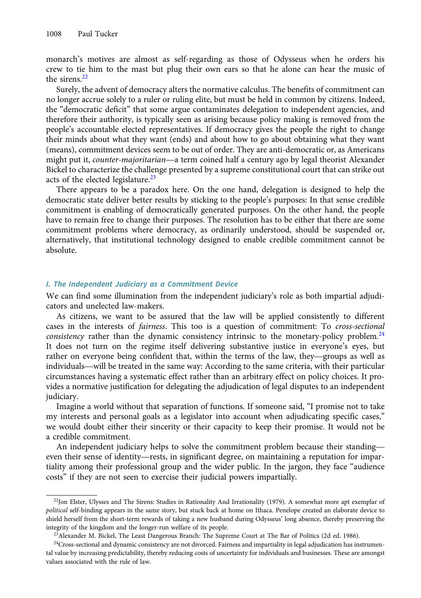monarch's motives are almost as self-regarding as those of Odysseus when he orders his crew to tie him to the mast but plug their own ears so that he alone can hear the music of the sirens.<sup>22</sup>

Surely, the advent of democracy alters the normative calculus. The benefits of commitment can no longer accrue solely to a ruler or ruling elite, but must be held in common by citizens. Indeed, the "democratic deficit" that some argue contaminates delegation to independent agencies, and therefore their authority, is typically seen as arising because policy making is removed from the merefore their authority, is typically seen as arising because policy making is removed from the people's accountable elected representatives. If democracy gives the people the right to change their minds about what they w their minds about what they want (ends) and about how to go about obtaining what they want (means), commitment devices seem to be out of order. They are anti-democratic or, as Americans Bickel to characterize the challenge presented by a supreme constitutional court that can strike out acts of the elected legislature. $^{23}$ 

There appears to be a paradox here. On the one hand, delegation is designed to help the democratic state deliver better results by sticking to the people's purposes: In that sense credible commitment is enabling of democratically generated purposes. On the other hand, the people have to remain free to change their purposes. The resolution has to be either that there are some commitment problems where democracy, as ordinarily understood, should be suspended or, alternatively, that institutional technology designed to enable credible commitment cannot be absolute.

## I. The Independent Judiciary as a Commitment Device

We can find some illumination from the independent judiciary's role as both impartial adjudicators and unelected law-makers.

As citizens, we want to be assured that the law will be applied consistently to different cases in the interests of fairness. This too is a question of commitment: To cross-sectional consistency rather than the dynamic consistency intrinsic to the monetary-policy problem.<sup>24</sup> It does not turn on the regime itself delivering substantive justice in everyone's eyes, but rather on everyone being confident that, within the terms of the law, they—groups as well as<br>there on everyone being confident that, within the terms of the law, they—groups as well as<br>there on everyone being confident tha cases in the interests of *Jairness*. This too is a question of commution: To *cross-sectional* consistency rather than the dynamic consistency intrinsic to the monetary-policy problem.<sup>24</sup> It does not turn on the regime i circumstances having a systematic effect rather than an arbitrary effect on policy choices. It provides a normative justification for delegating the adjudication of legal disputes to an independent judiciary.

Imagine a world without that separation of functions. If someone said, "I promise not to take my interests and personal goals as a legislator into account when adjudicating specific cases," we would doubt either their sincerity or their capacity to keep their promise. It would not be a credible commitment. my interests and personal goals as a legislator into account when adjudicating specific cases,<br>we would doubt either their sincerity or their capacity to keep their promise. It would not be<br>a credible commitment.<br>An indepe

An independent judiciary helps to solve the commitment problem because their standing tiality among their professional group and the wider public. In the jargon, they face "audience costs" if they are not seen to exercise their judicial powers impartially.

 $22$ Jon Elster, Ulysses and The Sirens: Studies in Rationality And Irrationality (1979). A somewhat more apt exemplar of political self-binding appears in the same story, but stuck back at home on Ithaca. Penelope created an elaborate device to shield herself from the short-term rewards of taking a new husband during Odysseus' long absence, thereby preserving the integrity of the kingdom and the longer-run welfare of its people.

<sup>&</sup>lt;sup>23</sup>Alexander M. Bickel, The Least Dangerous Branch: The Supreme Court at The Bar of Politics (2d ed. 1986).

 $24$ Cross-sectional and dynamic consistency are not divorced. Fairness and impartiality in legal adjudication has instrumental value by increasing predictability, thereby reducing costs of uncertainty for individuals and businesses. These are amongst values associated with the rule of law.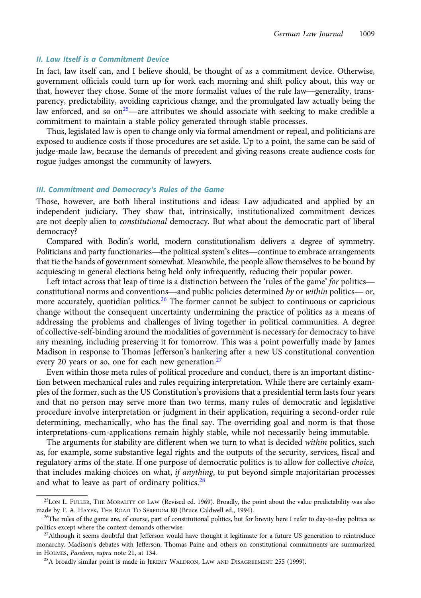## II. Law Itself is a Commitment Device

In fact, law itself can, and I believe should, be thought of as a commitment device. Otherwise, government officials could turn up for work each morning and shift policy about, this way or II. Law Itself is a Commitment Device<br>In fact, law itself can, and I believe should, be thought of as a commitment device. Otherwise,<br>government officials could turn up for work each morning and shift policy about, this wa parency, predictability, avoiding capricious change, and the promulgated law actually being the In fact, faw itself can, and 1 beheve should, be mought of as a commitment device. Otherwise, government officials could turn up for work each morning and shift policy about, this way or that, however they chose. Some of commitment to maintain a stable policy generated through stable processes.

Thus, legislated law is open to change only via formal amendment or repeal, and politicians are exposed to audience costs if those procedures are set aside. Up to a point, the same can be said of judge-made law, because the demands of precedent and giving reasons create audience costs for rogue judges amongst the community of lawyers.

#### III. Commitment and Democracy's Rules of the Game

Those, however, are both liberal institutions and ideas: Law adjudicated and applied by an independent judiciary. They show that, intrinsically, institutionalized commitment devices are not deeply alien to *constitutional* democracy. But what about the democratic part of liberal democracy? malaysimum and party functionary. They show that, intrinsically, institutionalized communient devices<br>are not deeply alien to *constitutional* democracy. But what about the democratic part of liberal<br>democracy?<br>Compared wi

Compared with Bodin's world, modern constitutionalism delivers a degree of symmetry. that tie the hands of government somewhat. Meanwhile, the people allow themselves to be bound by acquiescing in general elections being held only infrequently, reducing their popular power. Compared with Bouth's world, modern Constitutionalism delivers a degree of symmetry.<br>Iticians and party functionaries—the political system's elites—continue to embrace arrangements<br>It tie the hands of government somewhat. Politicians and party functional ness—the political system s ellies—continue to embrace arrangements<br>that tie the hands of government somewhat. Meanwhile, the people allow themselves to be bound by<br>acquiescing in general e

more accurately, quotidian politics.<sup>26</sup> The former cannot be subject to continuous or capricious change without the consequent uncertainty undermining the practice of politics as a means of addressing the problems and challenges of living together in political communities. A degree of collective-self-binding around the modalities of government is necessary for democracy to have any meaning, including preserving it for tomorrow. This was a point powerfully made by James Madison in response to Thomas Jefferson's hankering after a new US constitutional convention every 20 years or so, one for each new generation.<sup>27</sup>

Even within those meta rules of political procedure and conduct, there is an important distinction between mechanical rules and rules requiring interpretation. While there are certainly examples of the former, such as the US Constitution's provisions that a presidential term lasts four years and that no person may serve more than two terms, many rules of democratic and legislative procedure involve interpretation or judgment in their application, requiring a second-order rule determining, mechanically, who has the final say. The overriding goal and norm is that those interpretations-cum-applications remain highly stable, while not necessarily being immutable.

The arguments for stability are different when we turn to what is decided within politics, such as, for example, some substantive legal rights and the outputs of the security, services, fiscal and regulatory arms of the state. If one purpose of democratic politics is to allow for collective choice, that includes making choices on what, if anything, to put beyond simple majoritarian processes and what to leave as part of ordinary politics. $28$ 

<sup>25</sup>LON L. FULLER, THE MORALITY OF LAW (Revised ed. 1969). Broadly, the point about the value predictability was also made by F. A. HAYEK, THE ROAD TO SERFDOM 80 (Bruce Caldwell ed., 1994).

<sup>&</sup>lt;sup>26</sup>The rules of the game are, of course, part of constitutional politics, but for brevity here I refer to day-to-day politics as politics except where the context demands otherwise.

 $^{27}$ Although it seems doubtful that Jefferson would have thought it legitimate for a future US generation to reintroduce monarchy. Madison's debates with Jefferson, Thomas Paine and others on constitutional commitments are summarized in HOLMES, Passions, supra note 21, at 134.

<sup>&</sup>lt;sup>28</sup>A broadly similar point is made in JEREMY WALDRON, LAW AND DISAGREEMENT 255 (1999).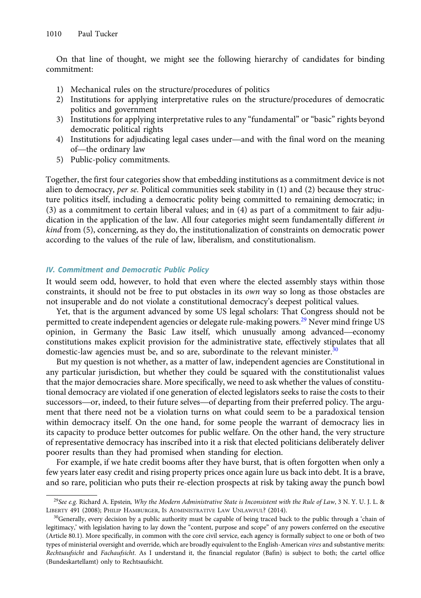On that line of thought, we might see the following hierarchy of candidates for binding commitment:

- 1) Mechanical rules on the structure/procedures of politics
- 2) Institutions for applying interpretative rules on the structure/procedures of democratic politics and government
- 3) Institutions for applying interpretative rules to any "fundamental" or "basic" rights beyond democratic political rights pontics and governm<br>Institutions for apply<br>democratic political<br>Institutions for adjud<br>of—the ordinary law
- 4) Institutions for adjudicating legal cases under—and with the final word on the meaning
- 5) Public-policy commitments.

Together, the first four categories show that embedding institutions as a commitment device is not alien to democracy, per se. Political communities seek stability in  $(1)$  and  $(2)$  because they structure politics itself, including a democratic polity being committed to remaining democratic; in (3) as a commitment to certain liberal values; and in (4) as part of a commitment to fair adjudication in the application of the law. All four categories might seem fundamentally different in kind from (5), concerning, as they do, the institutionalization of constraints on democratic power according to the values of the rule of law, liberalism, and constitutionalism.

## IV. Commitment and Democratic Public Policy

It would seem odd, however, to hold that even where the elected assembly stays within those constraints, it should not be free to put obstacles in its own way so long as those obstacles are not insuperable and do not violate a constitutional democracy's deepest political values.

Yet, that is the argument advanced by some US legal scholars: That Congress should not be permitted to create independent agencies or delegate rule-making powers.<sup>29</sup> Never mind fringe US constraints, it should not be free to put obstactes in its *own* way so long as those obstactes are<br>not insuperable and do not violate a constitutional democracy's deepest political values.<br>Yet, that is the argument advanc constitutions makes explicit provision for the administrative state, effectively stipulates that all domestic-law agencies must be, and so are, subordinate to the relevant minister.<sup>30</sup>

But my question is not whether, as a matter of law, independent agencies are Constitutional in any particular jurisdiction, but whether they could be squared with the constitutionalist values that the major democracies share. More specifically, we need to ask whether the values of constitutional democracy are violated if one generation of elected legislators seeks to raise the costs to their successors—or, indeed, to their future selves—of departing from their preferred policy. The argument that there need not be a violation turns on what could seem to be a paradoxical tension within democracy itself. On the one hand, for some people the warrant of democracy lies in its capacity to produce better outcomes for public welfare. On the other hand, the very structure of representative democracy has inscribed into it a risk that elected politicians deliberately deliver poorer results than they had promised when standing for election.

For example, if we hate credit booms after they have burst, that is often forgotten when only a few years later easy credit and rising property prices once again lure us back into debt. It is a brave, and so rare, politician who puts their re-election prospects at risk by taking away the punch bowl

<sup>&</sup>lt;sup>29</sup>See e.g. Richard A. Epstein, Why the Modern Administrative State is Inconsistent with the Rule of Law, 3 N. Y. U. J. L. & LIBERTY 491 (2008); PHILIP HAMBURGER, IS ADMINISTRATIVE LAW UNLAWFUL? (2014).

 $30$ Generally, every decision by a public authority must be capable of being traced back to the public through a 'chain of legitimacy,' with legislation having to lay down the "content, purpose and scope" of any powers conferred on the executive (Article 80.1). More specifically, in common with the core civil service, each agency is formally subject to one or both of two types of ministerial oversight and override, which are broadly equivalent to the English-American vires and substantive merits: Rechtsaufsicht and Fachaufsicht. As I understand it, the financial regulator (Bafin) is subject to both; the cartel office (Bundeskartellamt) only to Rechtsaufsicht.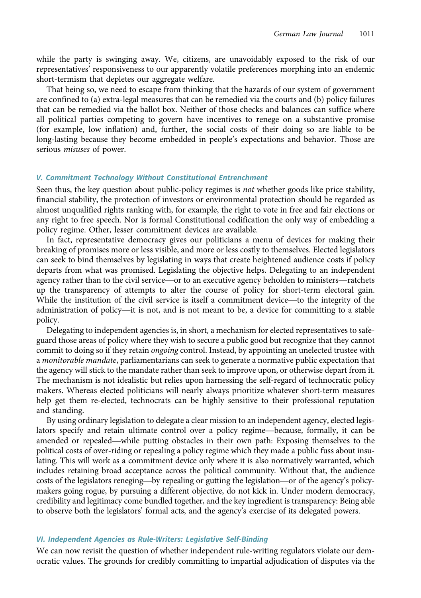while the party is swinging away. We, citizens, are unavoidably exposed to the risk of our representatives' responsiveness to our apparently volatile preferences morphing into an endemic short-termism that depletes our aggregate welfare.

That being so, we need to escape from thinking that the hazards of our system of government are confined to (a) extra-legal measures that can be remedied via the courts and (b) policy failures that can be remedied via the ballot box. Neither of those checks and balances can suffice where all political parties competing to govern have incentives to renege on a substantive promise (for example, low inflation) and, further, the social costs of their doing so are liable to be long-lasting because they become embedded in people's expectations and behavior. Those are serious misuses of power.

## V. Commitment Technology Without Constitutional Entrenchment

Seen thus, the key question about public-policy regimes is not whether goods like price stability, financial stability, the protection of investors or environmental protection should be regarded as almost unqualified rights ranking with, for example, the right to vote in free and fair elections or any right to free speech. Nor is formal Constitutional codification the only way of embedding a policy regime. Other, lesser commitment devices are available.

In fact, representative democracy gives our politicians a menu of devices for making their breaking of promises more or less visible, and more or less costly to themselves. Elected legislators can seek to bind themselves by legislating in ways that create heightened audience costs if policy departs from what was promised. Legislating the objective helps. Delegating to an independent In fact, representative democracy gives our politicians a mentu of devices for making their<br>breaking of promises more or less visible, and more or less costly to themselves. Elected legislators<br>can seek to bind themselves up the transparency of attempts to alter the course of policy for short-term electoral gain. can seek to bind themselves by legislating in ways that create heightened audience costs if policy<br>departs from what was promised. Legislating the objective helps. Delegating to an independent<br>agency rather than to the civ departs from what was promised. Legislating the objective helps. Delegating to an independent<br>agency rather than to the civil service—or to an executive agency beholden to ministers—ratchets<br>up the transparency of attempts policy.

Delegating to independent agencies is, in short, a mechanism for elected representatives to safeguard those areas of policy where they wish to secure a public good but recognize that they cannot commit to doing so if they retain ongoing control. Instead, by appointing an unelected trustee with a monitorable mandate, parliamentarians can seek to generate a normative public expectation that the agency will stick to the mandate rather than seek to improve upon, or otherwise depart from it. The mechanism is not idealistic but relies upon harnessing the self-regard of technocratic policy makers. Whereas elected politicians will nearly always prioritize whatever short-term measures help get them re-elected, technocrats can be highly sensitive to their professional reputation and standing. makers. Whereas elected politicians will nearly always prioritize whatever short-term measures<br>help get them re-elected, technocrats can be highly sensitive to their professional reputation<br>and standing.<br>By using ordinary

By using ordinary legislation to delegate a clear mission to an independent agency, elected legislators specify and retain ultimate control over a policy regime—because, formally, it can be amended or repealed—while putting obstacles in their own path: Exposing themselves to the political costs of over-riding or repealing a policy regime which they made a public fuss about insulating. This will work as a commitment device only where it is also normatively warranted, which includes retaining broad acceptance across the political community. Without that, the audience costs of the legislators reneging—by repealing or gutting the legislation—or of the agency's policymakers going rogue, by pursuing a different objective, do not kick in. Under modern democracy, credibility and legitimacy come bundled together, and the key ingredient is transparency: Being able to observe both the legislators' formal acts, and the agency's exercise of its delegated powers.

## VI. Independent Agencies as Rule-Writers: Legislative Self-Binding

We can now revisit the question of whether independent rule-writing regulators violate our democratic values. The grounds for credibly committing to impartial adjudication of disputes via the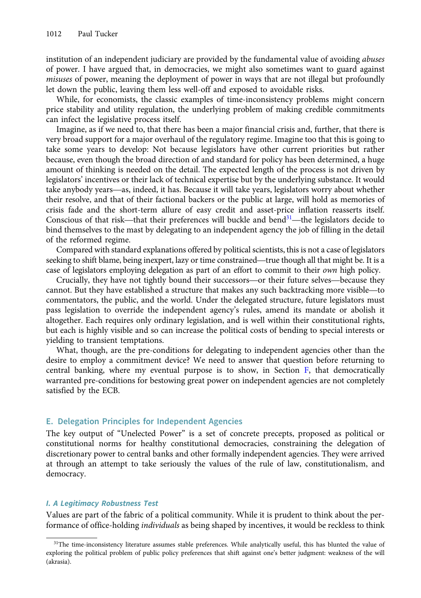<span id="page-13-0"></span>institution of an independent judiciary are provided by the fundamental value of avoiding *abuses* of power. I have argued that, in democracies, we might also sometimes want to guard against misuses of power, meaning the deployment of power in ways that are not illegal but profoundly let down the public, leaving them less well-off and exposed to avoidable risks.

While, for economists, the classic examples of time-inconsistency problems might concern price stability and utility regulation, the underlying problem of making credible commitments can infect the legislative process itself.

Imagine, as if we need to, that there has been a major financial crisis and, further, that there is very broad support for a major overhaul of the regulatory regime. Imagine too that this is going to take some years to develop: Not because legislators have other current priorities but rather because, even though the broad direction of and standard for policy has been determined, a huge amount of thinking is needed on the detail. The expected length of the process is not driven by legislators' incentives or their lack of technical expertise but by the underlying substance. It would take some years to develop: Not because legislators have other current priorities but rather<br>because, even though the broad direction of and standard for policy has been determined, a huge<br>amount of thinking is needed on t their resolve, and that of their factional backers or the public at large, will hold as memories of crisis fade and the short-term allure of easy credit and asset-price inflation reasserts itself. take anybody years—as, indeed, it has. Because it will take years, legislators worry about whether<br>their resolve, and that of their factional backers or the public at large, will hold as memories of<br>crisis fade and the sho bind themselves to the mast by delegating to an independent agency the job of filling in the detail of the reformed regime. Sonscious of that risk—that their preferences will buckle and bend—the legislators decide to<br>bind themselves to the mast by delegating to an independent agency the job of filling in the detail<br>of the reformed regime.<br>Compa

Compared with standard explanations offered by political scientists, this is not a case of legislators case of legislators employing delegation as part of an effort to commit to their own high policy. the reformed regime.<br>Compared with standard explanations offered by political scientists, this is not a case of legislators<br>king to shift blame, being inexpert, lazy or time constrained—true though all that might be. It is Compared with standard explanations onered by pointcal scientists, this is not a case of legislators seeking to shift blame, being inexpert, lazy or time constrained—true though all that might be. It is a case of legislato

commentators, the public, and the world. Under the delegated structure, future legislators must pass legislation to override the independent agency's rules, amend its mandate or abolish it altogether. Each requires only ordinary legislation, and is well within their constitutional rights, but each is highly visible and so can increase the political costs of bending to special interests or yielding to transient temptations.

What, though, are the pre-conditions for delegating to independent agencies other than the desire to employ a commitment device? We need to answer that question before returning to central banking, where my eventual purpose is to show, in Section [F,](#page-18-0) that democratically warranted pre-conditions for bestowing great power on independent agencies are not completely satisfied by the ECB.

## E. Delegation Principles for Independent Agencies

The key output of "Unelected Power" is a set of concrete precepts, proposed as political or constitutional norms for healthy constitutional democracies, constraining the delegation of discretionary power to central banks and other formally independent agencies. They were arrived at through an attempt to take seriously the values of the rule of law, constitutionalism, and democracy.

## I. A Legitimacy Robustness Test

Values are part of the fabric of a political community. While it is prudent to think about the performance of office-holding *individuals* as being shaped by incentives, it would be reckless to think

<sup>&</sup>lt;sup>31</sup>The time-inconsistency literature assumes stable preferences. While analytically useful, this has blunted the value of exploring the political problem of public policy preferences that shift against one's better judgment: weakness of the will (akrasia).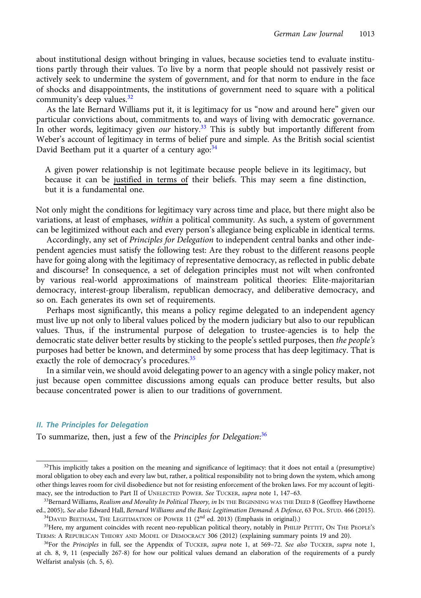about institutional design without bringing in values, because societies tend to evaluate institutions partly through their values. To live by a norm that people should not passively resist or actively seek to undermine the system of government, and for that norm to endure in the face of shocks and disappointments, the institutions of government need to square with a political community's deep values. $32$ 

As the late Bernard Williams put it, it is legitimacy for us "now and around here" given our particular convictions about, commitments to, and ways of living with democratic governance. In other words, legitimacy given *our* history.<sup>33</sup> This is subtly but importantly different from Weber's account of legitimacy in terms of belief pure and simple. As the British social scientist David Beetham put it a quarter of a century ago: $34$ 

A given power relationship is not legitimate because people believe in its legitimacy, but because it can be justified in terms of their beliefs. This may seem a fine distinction, but it is a fundamental one.

Not only might the conditions for legitimacy vary across time and place, but there might also be variations, at least of emphases, within a political community. As such, a system of government can be legitimized without each and every person's allegiance being explicable in identical terms.

Accordingly, any set of Principles for Delegation to independent central banks and other independent agencies must satisfy the following test: Are they robust to the different reasons people have for going along with the legitimacy of representative democracy, as reflected in public debate and discourse? In consequence, a set of delegation principles must not wilt when confronted by various real-world approximations of mainstream political theories: Elite-majoritarian democracy, interest-group liberalism, republican democracy, and deliberative democracy, and so on. Each generates its own set of requirements.

Perhaps most significantly, this means a policy regime delegated to an independent agency must live up not only to liberal values policed by the modern judiciary but also to our republican values. Thus, if the instrumental purpose of delegation to trustee-agencies is to help the democratic state deliver better results by sticking to the people's settled purposes, then the people's purposes had better be known, and determined by some process that has deep legitimacy. That is exactly the role of democracy's procedures.<sup>35</sup>

In a similar vein, we should avoid delegating power to an agency with a single policy maker, not just because open committee discussions among equals can produce better results, but also because concentrated power is alien to our traditions of government.

#### II. The Principles for Delegation

To summarize, then, just a few of the Principles for Delegation:<sup>36</sup>

 $32$ This implicitly takes a position on the meaning and significance of legitimacy: that it does not entail a (presumptive) moral obligation to obey each and every law but, rather, a political responsibility not to bring down the system, which among other things leaves room for civil disobedience but not for resisting enforcement of the broken laws. For my account of legitimacy, see the introduction to Part II of UNELECTED POWER. See TUCKER, supra note 1, 147-63.

<sup>&</sup>lt;sup>33</sup>Bernard Williams, Realism and Morality In Political Theory, in IN THE BEGINNING WAS THE DEED 8 (Geoffrey Hawthorne ed., 2005);. See also Edward Hall, Bernard Williams and the Basic Legitimation Demand: A Defence, 63 POL. STUD. 466 (2015). <sup>34</sup>DAVID BEETHAM, THE LEGITIMATION OF POWER 11 (2<sup>nd</sup> ed. 2013) (Emphasis in original).)

<sup>&</sup>lt;sup>35</sup>Here, my argument coincides with recent neo-republican political theory, notably in PHILIP PETTIT, ON THE PEOPLE'S TERMS: A REPUBLICAN THEORY AND MODEL OF DEMOCRACY 306 (2012) (explaining summary points 19 and 20).

 $36$ For the Principles in full, see the Appendix of TUCKER, supra note 1, at 569–72. See also TUCKER, supra note 1, at ch. 8, 9, 11 (especially 267-8) for how our political values demand an elaboration of the requirements of a purely Welfarist analysis (ch. 5, 6).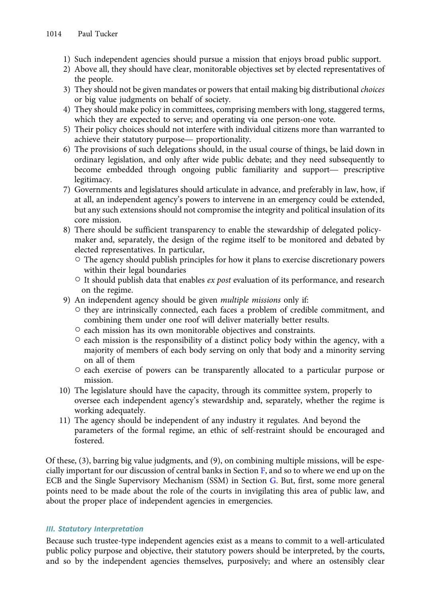- 1) Such independent agencies should pursue a mission that enjoys broad public support.
- 2) Above all, they should have clear, monitorable objectives set by elected representatives of the people.
- 3) They should not be given mandates or powers that entail making big distributional *choices* or big value judgments on behalf of society.
- 4) They should make policy in committees, comprising members with long, staggered terms, which they are expected to serve; and operating via one person-one vote. or big value judgments on behan or society.<br>They should make policy in committees, comprisin<br>which they are expected to serve; and operating v<br>Their policy choices should not interfere with indiv<br>achieve their statutory pu
- 5) Their policy choices should not interfere with individual citizens more than warranted to
- 6) The provisions of such delegations should, in the usual course of things, be laid down in ordinary legislation, and only after wide public debate; and they need subsequently to Frief policy choices should not interfere with individual citizens informally achieve their statutory purpose— proportionality.<br>The provisions of such delegations should, in the usual course of things, be laid down in ordi legitimacy.
- 7) Governments and legislatures should articulate in advance, and preferably in law, how, if at all, an independent agency's powers to intervene in an emergency could be extended, but any such extensions should not compromise the integrity and political insulation of its core mission.
- 8) There should be sufficient transparency to enable the stewardship of delegated policymaker and, separately, the design of the regime itself to be monitored and debated by elected representatives. In particular,
	- $\circ$  The agency should publish principles for how it plans to exercise discretionary powers within their legal boundaries
	- $\circ$  It should publish data that enables ex post evaluation of its performance, and research on the regime.
- 9) An independent agency should be given multiple missions only if:
	- they are intrinsically connected, each faces a problem of credible commitment, and combining them under one roof will deliver materially better results.
	- each mission has its own monitorable objectives and constraints.
	- $\circ$  each mission is the responsibility of a distinct policy body within the agency, with a majority of members of each body serving on only that body and a minority serving on all of them
	- each exercise of powers can be transparently allocated to a particular purpose or mission.
- 10) The legislature should have the capacity, through its committee system, properly to oversee each independent agency's stewardship and, separately, whether the regime is working adequately.
- 11) The agency should be independent of any industry it regulates. And beyond the parameters of the formal regime, an ethic of self-restraint should be encouraged and fostered.

Of these, (3), barring big value judgments, and (9), on combining multiple missions, will be especially important for our discussion of central banks in Section [F,](#page-18-0) and so to where we end up on the ECB and the Single Supervisory Mechanism (SSM) in Section [G](#page-24-0). But, first, some more general points need to be made about the role of the courts in invigilating this area of public law, and about the proper place of independent agencies in emergencies.

# III. Statutory Interpretation

Because such trustee-type independent agencies exist as a means to commit to a well-articulated public policy purpose and objective, their statutory powers should be interpreted, by the courts, and so by the independent agencies themselves, purposively; and where an ostensibly clear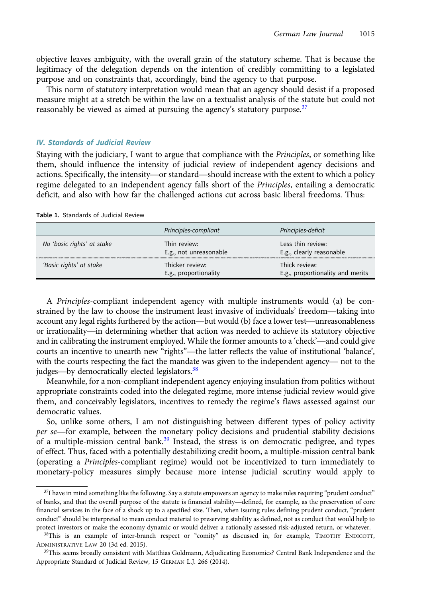objective leaves ambiguity, with the overall grain of the statutory scheme. That is because the legitimacy of the delegation depends on the intention of credibly committing to a legislated purpose and on constraints that, accordingly, bind the agency to that purpose.

This norm of statutory interpretation would mean that an agency should desist if a proposed measure might at a stretch be within the law on a textualist analysis of the statute but could not reasonably be viewed as aimed at pursuing the agency's statutory purpose.<sup>37</sup>

## IV. Standards of Judicial Review

Staying with the judiciary, I want to argue that compliance with the Principles, or something like them, should influence the intensity of judicial review of independent agency decisions and actions. Specifically, the intensity—or standard—should increase with the extent to which a policy regime delegated to an independent agency falls short of the Principles, entailing a democratic deficit, and also with how far the challenged actions cut across basic liberal freedoms. Thus:

Table 1. Standards of Judicial Review

|                            | Principles-compliant                     | Principles-deficit                                |
|----------------------------|------------------------------------------|---------------------------------------------------|
| No 'basic rights' at stake | Thin review:<br>E.g., not unreasonable   | Less thin review:<br>E.g., clearly reasonable     |
| 'Basic rights' at stake    | Thicker review:<br>E.g., proportionality | Thick review:<br>E.g., proportionality and merits |

A Principles-compliant independent agency with multiple instruments would (a) be con-E.g., proportionality E.g., proportionality and merits<br>A *Principles*-compliant independent agency with multiple instruments would (a) be constrained by the law to choose the instrument least invasive of individuals' freed A *Principles*-compliant independent agency with multiple instruments would (a) be constrained by the law to choose the instrument least invasive of individuals' freedom—taking into account any legal rights furthered by th A *Principles*-compliant independent agency with multiple instruments would (a) be constrained by the law to choose the instrument least invasive of individuals' freedom—taking into account any legal rights furthered by th strained by the law to choose the instrument least invasive of individuals' freedom—taking into account any legal rights furthered by the action—but would (b) face a lower test—unreasonableness or irrationality—in determin strained by the law to choose the instrument least invasive of mulviduals freedom—taking into<br>account any legal rights furthered by the action—but would (b) face a lower test—unreasonableness<br>or irrationality—in determinin account any legal rights furthered by the action—but would (b) face a lower test—unreasonableness<br>or irrationality—in determining whether that action was needed to achieve its statutory objective<br>and in calibrating the ins or Irrationality—in determining whether that and in calibrating the instrument employed. Wh courts an incentive to unearth new "rights"—t with the courts respecting the fact the mandate judges—by democratically elected leg

Meanwhile, for a non-compliant independent agency enjoying insulation from politics without appropriate constraints coded into the delegated regime, more intense judicial review would give them, and conceivably legislators, incentives to remedy the regime's flaws assessed against our democratic values.

So, unlike some others, I am not distinguishing between different types of policy activity per se—for example, between the monetary policy decisions and prudential stability decisions of a multiple-mission central bank.<sup>39</sup> Instead, the stress is on democratic pedigree, and types of effect. Thus, faced with a potentially destabilizing credit boom, a multiple-mission central bank (operating a Principles-compliant regime) would not be incentivized to turn immediately to monetary-policy measures simply because more intense judicial scrutiny would apply to

 $^{37}$ I have in mind something like the following. Say a statute empowers an agency to make rules requiring "prudent conduct" monetary-policy measures simply because more intense judicial scrutiny would apply to<br>a stature in mind something like the following. Say a statute empowers an agency to make rules requiring "prudent conduct"<br>of banks, and financial services in the face of a shock up to a specified size. Then, when issuing rules defining prudent conduct, "prudent conduct" should be interpreted to mean conduct material to preserving stability as defined, not as conduct that would help to protect investors or make the economy dynamic or would deliver a rationally assessed risk-adjusted return, or whatever.

<sup>&</sup>lt;sup>38</sup>This is an example of inter-branch respect or "comity" as discussed in, for example, TIMOTHY ENDICOTT, ADMINISTRATIVE LAW 20 (3d ed. 2015).

<sup>&</sup>lt;sup>39</sup>This seems broadly consistent with Matthias Goldmann, Adjudicating Economics? Central Bank Independence and the Appropriate Standard of Judicial Review, 15 GERMAN L.J. 266 (2014).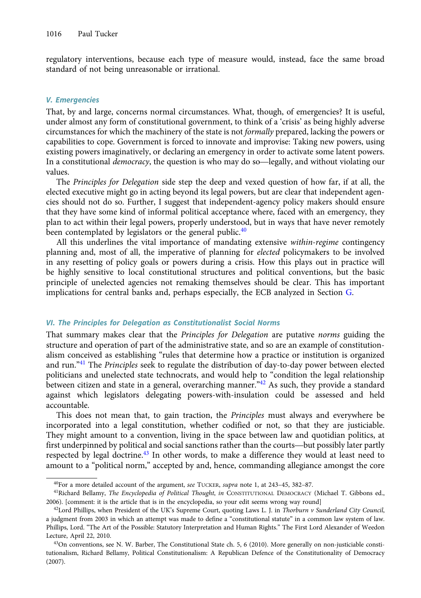regulatory interventions, because each type of measure would, instead, face the same broad standard of not being unreasonable or irrational.

## V. Emergencies

That, by and large, concerns normal circumstances. What, though, of emergencies? It is useful, under almost any form of constitutional government, to think of a 'crisis' as being highly adverse circumstances for which the machinery of the state is not formally prepared, lacking the powers or capabilities to cope. Government is forced to innovate and improvise: Taking new powers, using existing powers imaginatively, or declaring an emergency in order to activate some latent powers. Inder almost any form of constitutional government, to think of a crisis as being highly adverse<br>circumstances for which the machinery of the state is not *formally* prepared, lacking the powers or<br>capabilities to cope. Go values.

The Principles for Delegation side step the deep and vexed question of how far, if at all, the elected executive might go in acting beyond its legal powers, but are clear that independent agencies should not do so. Further, I suggest that independent-agency policy makers should ensure that they have some kind of informal political acceptance where, faced with an emergency, they plan to act within their legal powers, properly understood, but in ways that have never remotely been contemplated by legislators or the general public.<sup>40</sup>

All this underlines the vital importance of mandating extensive within-regime contingency planning and, most of all, the imperative of planning for elected policymakers to be involved in any resetting of policy goals or powers during a crisis. How this plays out in practice will be highly sensitive to local constitutional structures and political conventions, but the basic principle of unelected agencies not remaking themselves should be clear. This has important implications for central banks and, perhaps especially, the ECB analyzed in Section [G](#page-24-0).

## VI. The Principles for Delegation as Constitutionalist Social Norms

That summary makes clear that the Principles for Delegation are putative norms guiding the structure and operation of part of the administrative state, and so are an example of constitutionalism conceived as establishing "rules that determine how a practice or institution is organized and run."<sup>41</sup> The Principles seek to regulate the distribution of day-to-day power between elected politicians and unelected state technocrats, and would help to "condition the legal relationship between citizen and state in a general, overarching manner.<sup>"42</sup> As such, they provide a standard against which legislators delegating powers-with-insulation could be assessed and held accountable.

This does not mean that, to gain traction, the Principles must always and everywhere be incorporated into a legal constitution, whether codified or not, so that they are justiciable. They might amount to a convention, living in the space between law and quotidian politics, at first underpinned by political and social sanctions rather than the courts—but possibly later partly respected by legal doctrine.<sup>43</sup> In other words, to make a difference they would at least need to amount to a "political norm," accepted by and, hence, commanding allegiance amongst the core

 $^{40}$ For a more detailed account of the argument, see TUCKER, supra note 1, at 243-45, 382-87.

<sup>&</sup>lt;sup>41</sup>Richard Bellamy, The Encyclopedia of Political Thought, in CONSTITUTIONAL DEMOCRACY (Michael T. Gibbons ed., 2006). [comment: it is the article that is in the encyclopedia, so your edit seems wrong way round]

 $42$ Lord Phillips, when President of the UK's Supreme Court, quoting Laws L. J. in Thorburn v Sunderland City Council, a judgment from 2003 in which an attempt was made to define a "constitutional statute" in a common law system of law. Phillips, Lord. "The Art of the Possible: Statutory Interpretation and Human Rights." The First Lord Alexander of Weedon Lecture, April 22, 2010.

 $43$ On conventions, see N. W. Barber, The Constitutional State ch. 5, 6 (2010). More generally on non-justiciable constitutionalism, Richard Bellamy, Political Constitutionalism: A Republican Defence of the Constitutionality of Democracy (2007).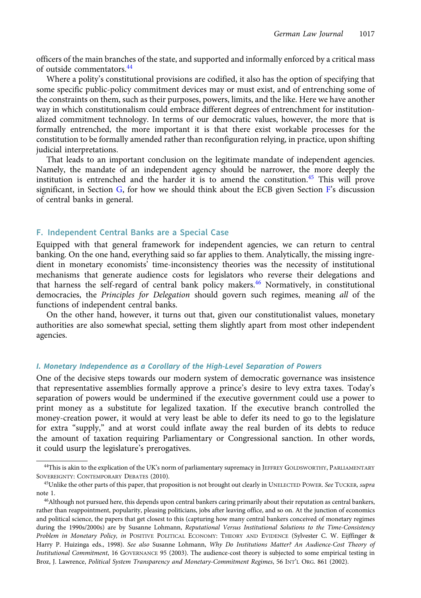<span id="page-18-0"></span>officers of the main branches of the state, and supported and informally enforced by a critical mass of outside commentators.<sup>44</sup>

Where a polity's constitutional provisions are codified, it also has the option of specifying that some specific public-policy commitment devices may or must exist, and of entrenching some of the constraints on them, such as their purposes, powers, limits, and the like. Here we have another way in which constitutionalism could embrace different degrees of entrenchment for institutionalized commitment technology. In terms of our democratic values, however, the more that is formally entrenched, the more important it is that there exist workable processes for the constitution to be formally amended rather than reconfiguration relying, in practice, upon shifting judicial interpretations.

That leads to an important conclusion on the legitimate mandate of independent agencies. Namely, the mandate of an independent agency should be narrower, the more deeply the institution is entrenched and the harder it is to amend the constitution. $45$  This will prove significant, in Section  $G$ , for how we should think about the ECB given Section  $F$ 's discussion of central banks in general.

## F. Independent Central Banks are a Special Case

Equipped with that general framework for independent agencies, we can return to central banking. On the one hand, everything said so far applies to them. Analytically, the missing ingredient in monetary economists' time-inconsistency theories was the necessity of institutional mechanisms that generate audience costs for legislators who reverse their delegations and that harness the self-regard of central bank policy makers.<sup>46</sup> Normatively, in constitutional democracies, the Principles for Delegation should govern such regimes, meaning all of the functions of independent central banks.

On the other hand, however, it turns out that, given our constitutionalist values, monetary authorities are also somewhat special, setting them slightly apart from most other independent agencies.

## I. Monetary Independence as a Corollary of the High-Level Separation of Powers

One of the decisive steps towards our modern system of democratic governance was insistence that representative assemblies formally approve a prince's desire to levy extra taxes. Today's separation of powers would be undermined if the executive government could use a power to print money as a substitute for legalized taxation. If the executive branch controlled the money-creation power, it would at very least be able to defer its need to go to the legislature for extra "supply," and at worst could inflate away the real burden of its debts to reduce the amount of taxation requiring Parliamentary or Congressional sanction. In other words, it could usurp the legislature's prerogatives.

<sup>44</sup>This is akin to the explication of the UK's norm of parliamentary supremacy in JEFFREY GOLDSWORTHY, PARLIAMENTARY SOVEREIGNTY: CONTEMPORARY DEBATES (2010).

<sup>&</sup>lt;sup>45</sup>Unlike the other parts of this paper, that proposition is not brought out clearly in UNELECTED POWER. See TUCKER, supra note 1.

<sup>46</sup>Although not pursued here, this depends upon central bankers caring primarily about their reputation as central bankers, rather than reappointment, popularity, pleasing politicians, jobs after leaving office, and so on. At the junction of economics and political science, the papers that get closest to this (capturing how many central bankers conceived of monetary regimes during the 1990s/2000s) are by Susanne Lohmann, Reputational Versus Institutional Solutions to the Time-Consistency Problem in Monetary Policy, in POSITIVE POLITICAL ECONOMY: THEORY AND EVIDENCE (Sylvester C. W. Eijffinger & Harry P. Huizinga eds., 1998). See also Susanne Lohmann, Why Do Institutions Matter? An Audience-Cost Theory of Institutional Commitment, 16 GOVERNANCE 95 (2003). The audience-cost theory is subjected to some empirical testing in Broz, J. Lawrence, Political System Transparency and Monetary-Commitment Regimes, 56 INT'L ORG. 861 (2002).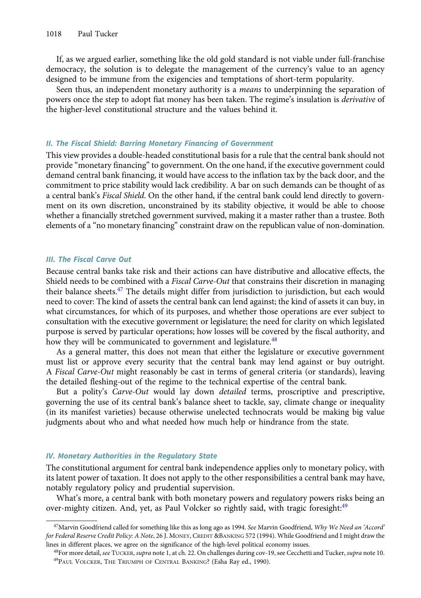If, as we argued earlier, something like the old gold standard is not viable under full-franchise democracy, the solution is to delegate the management of the currency's value to an agency designed to be immune from the exigencies and temptations of short-term popularity.

Seen thus, an independent monetary authority is a *means* to underpinning the separation of powers once the step to adopt fiat money has been taken. The regime's insulation is derivative of the higher-level constitutional structure and the values behind it.

#### II. The Fiscal Shield: Barring Monetary Financing of Government

This view provides a double-headed constitutional basis for a rule that the central bank should not provide "monetary financing" to government. On the one hand, if the executive government could demand central bank financing, it would have access to the inflation tax by the back door, and the commitment to price stability would lack credibility. A bar on such demands can be thought of as a central bank's Fiscal Shield. On the other hand, if the central bank could lend directly to government on its own discretion, unconstrained by its stability objective, it would be able to choose whether a financially stretched government survived, making it a master rather than a trustee. Both elements of a "no monetary financing" constraint draw on the republican value of non-domination.

## III. The Fiscal Carve Out

Because central banks take risk and their actions can have distributive and allocative effects, the Shield needs to be combined with a *Fiscal Carve-Out* that constrains their discretion in managing their balance sheets.<sup>47</sup> The details might differ from jurisdiction to jurisdiction, but each would need to cover: The kind of assets the central bank can lend against; the kind of assets it can buy, in what circumstances, for which of its purposes, and whether those operations are ever subject to consultation with the executive government or legislature; the need for clarity on which legislated purpose is served by particular operations; how losses will be covered by the fiscal authority, and how they will be communicated to government and legislature.<sup>48</sup>

As a general matter, this does not mean that either the legislature or executive government must list or approve every security that the central bank may lend against or buy outright. A Fiscal Carve-Out might reasonably be cast in terms of general criteria (or standards), leaving the detailed fleshing-out of the regime to the technical expertise of the central bank.

But a polity's Carve-Out would lay down *detailed* terms, proscriptive and prescriptive, governing the use of its central bank's balance sheet to tackle, say, climate change or inequality (in its manifest varieties) because otherwise unelected technocrats would be making big value judgments about who and what needed how much help or hindrance from the state.

## IV. Monetary Authorities in the Regulatory State

The constitutional argument for central bank independence applies only to monetary policy, with its latent power of taxation. It does not apply to the other responsibilities a central bank may have, notably regulatory policy and prudential supervision.

What's more, a central bank with both monetary powers and regulatory powers risks being an over-mighty citizen. And, yet, as Paul Volcker so rightly said, with tragic foresight:<sup>49</sup>

<sup>&</sup>lt;sup>47</sup>Marvin Goodfriend called for something like this as long ago as 1994. See Marvin Goodfriend, Why We Need an 'Accord' for Federal Reserve Credit Policy: A Note, 26 J. MONEY, CREDIT &BANKING 572 (1994). While Goodfriend and I might draw the lines in different places, we agree on the significance of the high-level political economy issues.

<sup>48</sup>For more detail, see TUCKER, supra note 1, at ch. 22. On challenges during cov-19, see Cecchetti and Tucker, supra note 10. 49PAUL VOLCKER, THE TRIUMPH OF CENTRAL BANKING? (Esha Ray ed., 1990).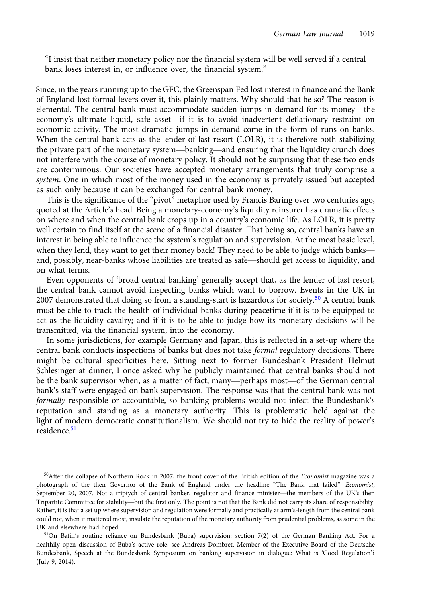"I insist that neither monetary policy nor the financial system will be well served if a central bank loses interest in, or influence over, the financial system."

Since, in the years running up to the GFC, the Greenspan Fed lost interest in finance and the Bank of England lost formal levers over it, this plainly matters. Why should that be so? The reason is bank loses interest in, or inhuence over, the inflancial system.<br>Since, in the years running up to the GFC, the Greenspan Fed lost interest in finance and the Bank<br>of England lost formal levers over it, this plainly matter Since, in the years running up to the GFC, the Greenspan Fed lost interest in finance and the Bank<br>of England lost formal levers over it, this plainly matters. Why should that be so? The reason is<br>elemental. The central ba economic activity. The most dramatic jumps in demand come in the form of runs on banks. When the central bank acts as the lender of last resort (LOLR), it is therefore both stabilizing elemental. The central bank must accommodate sudden jumps in demand for its money—the<br>economy's ultimate liquid, safe asset—if it is to avoid inadvertent deflationary restraint on<br>economic activity. The most dramatic jumps not interfere with the course of monetary policy. It should not be surprising that these two ends are conterminous: Our societies have accepted monetary arrangements that truly comprise a system. One in which most of the money used in the economy is privately issued but accepted as such only because it can be exchanged for central bank money.

This is the significance of the "pivot" metaphor used by Francis Baring over two centuries ago, quoted at the Article's head. Being a monetary-economy's liquidity reinsurer has dramatic effects quoted at the Article's head. Being a monetary-economy's inquitity reinsurer has dramatic enects<br>on where and when the central bank crops up in a country's economic life. As LOLR, it is pretty<br>well certain to find itself a well certain to find itself at the scene of a financial disaster. That being so, central banks have an interest in being able to influence the system's regulation and supervision. At the most basic level, when they lend, they want to get their money back! They need to be able to judge which banks—<br>and, possibly, near-banks whose liabilities are treated as safe—should get access to liquidity, and on what terms.

Even opponents of 'broad central banking' generally accept that, as the lender of last resort, the central bank cannot avoid inspecting banks which want to borrow. Events in the UK in 2007 demonstrated that doing so from a standing-start is hazardous for society.<sup>50</sup> A central bank must be able to track the health of individual banks during peacetime if it is to be equipped to act as the liquidity cavalry; and if it is to be able to judge how its monetary decisions will be transmitted, via the financial system, into the economy.

In some jurisdictions, for example Germany and Japan, this is reflected in a set-up where the central bank conducts inspections of banks but does not take formal regulatory decisions. There might be cultural specificities here. Sitting next to former Bundesbank President Helmut Schlesinger at dinner, I once asked why he publicly maintained that central banks should not In some jurisdictions, for example Germany and Japan, this is reflected in a set-up where the<br>central bank conducts inspections of banks but does not take *formal* regulatory decisions. There<br>might be cultural specificitie bank's staff were engaged on bank supervision. The response was that the central bank was not formally responsible or accountable, so banking problems would not infect the Bundesbank's reputation and standing as a monetary authority. This is problematic held against the light of modern democratic constitutionalism. We should not try to hide the reality of power's residence.<sup>51</sup>

<sup>&</sup>lt;sup>50</sup>After the collapse of Northern Rock in 2007, the front cover of the British edition of the Economist magazine was a photograph of the then Governor of the Bank of England under the headline "The Bank that failed": Economist, <sup>50</sup>After the collapse of Northern Rock in 2007, the front cover of the British edition of the *Economist* magazine was a<br>photograph of the then Governor of the Bank of England under the headline "The Bank that failed": *E* <sup>50</sup>After the collapse of Northern Rock in 2007, the front cover of the British edition of the *Economist* magazine was a photograph of the then Governor of the Bank of England under the headline "The Bank that failed": Rather, it is that a set up where supervision and regulation were formally and practically at arm's-length from the central bank could not, when it mattered most, insulate the reputation of the monetary authority from prudential problems, as some in the UK and elsewhere had hoped.

<sup>&</sup>lt;sup>51</sup>On Bafin's routine reliance on Bundesbank (Buba) supervision: section 7(2) of the German Banking Act. For a healthily open discussion of Buba's active role, see Andreas Dombret, Member of the Executive Board of the Deutsche Bundesbank, Speech at the Bundesbank Symposium on banking supervision in dialogue: What is 'Good Regulation'? (July 9, 2014).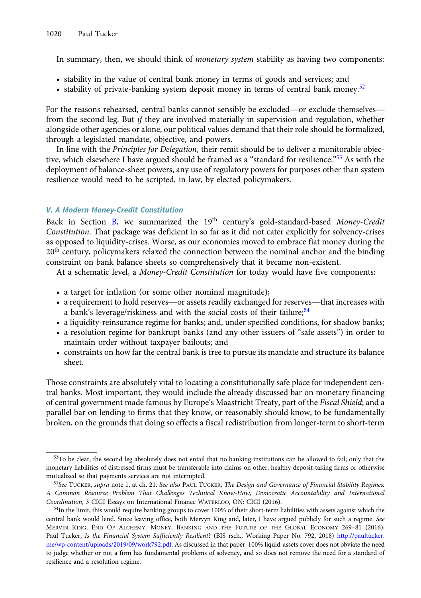In summary, then, we should think of *monetary system* stability as having two components:

- stability in the value of central bank money in terms of goods and services; and
- stability of private-banking system deposit money in terms of central bank money.<sup>52</sup>

• stability in the value of central bank money in terms of goods and services; and<br>• stability of private-banking system deposit money in terms of central bank money.<sup>52</sup><br>For the reasons rehearsed, central banks cannot sen from the second leg. But if they are involved materially in supervision and regulation, whether alongside other agencies or alone, our political values demand that their role should be formalized, through a legislated mandate, objective, and powers.

In line with the Principles for Delegation, their remit should be to deliver a monitorable objective, which elsewhere I have argued should be framed as a "standard for resilience."<sup>53</sup> As with the deployment of balance-sheet powers, any use of regulatory powers for purposes other than system resilience would need to be scripted, in law, by elected policymakers.

# V. A Modern Money-Credit Constitution

Back in Section [B,](#page-2-0) we summarized the  $19<sup>th</sup>$  century's gold-standard-based Money-Credit Constitution. That package was deficient in so far as it did not cater explicitly for solvency-crises as opposed to liquidity-crises. Worse, as our economies moved to embrace fiat money during the  $20<sup>th</sup>$  century, policymakers relaxed the connection between the nominal anchor and the binding constraint on bank balance sheets so comprehensively that it became non-existent.

At a schematic level, a Money-Credit Constitution for today would have five components:

- a target for inflation (or some other nominal magnitude);
- a requirement to hold reserves—or assets readily exchanged for reserves—that increases with a bank's leverage/riskiness and with the social costs of their failure;<sup>54</sup>
- a liquidity-reinsurance regime for banks; and, under specified conditions, for shadow banks;
- a resolution regime for bankrupt banks (and any other issuers of "safe assets") in order to maintain order without taxpayer bailouts; and
- constraints on how far the central bank is free to pursue its mandate and structure its balance sheet.

Those constraints are absolutely vital to locating a constitutionally safe place for independent central banks. Most important, they would include the already discussed bar on monetary financing of central government made famous by Europe's Maastricht Treaty, part of the Fiscal Shield; and a parallel bar on lending to firms that they know, or reasonably should know, to be fundamentally broken, on the grounds that doing so effects a fiscal redistribution from longer-term to short-term

 $52$ To be clear, the second leg absolutely does not entail that no banking institutions can be allowed to fail; only that the monetary liabilities of distressed firms must be transferable into claims on other, healthy deposit-taking firms or otherwise mutualized so that payments services are not interrupted.

<sup>53</sup>See TUCKER, supra note 1, at ch. 21. See also PAUL TUCKER, The Design and Governance of Financial Stability Regimes: A Common Resource Problem That Challenges Technical Know-How, Democratic Accountability and International Coordination, 3 CIGI Essays on International Finance WATERLOO, ON: CIGI (2016).

<sup>&</sup>lt;sup>54</sup>In the limit, this would require banking groups to cover 100% of their short-term liabilities with assets against which the central bank would lend. Since leaving office, both Mervyn King and, later, I have argued publicly for such a regime. See MERVIN KING, END OF ALCHEMY: MONEY, BANKING AND THE FUTURE OF THE GLOBAL ECONOMY 269–81 (2016); Paul Tucker, Is the Financial System Sufficiently Resilient? (BIS rsch., Working Paper No. 792, 2018) [http://paultucker.](http://paultucker.me/wp-content/uploads/2019/09/work792.pdf) [me/wp-content/uploads/2019/09/work792.pdf.](http://paultucker.me/wp-content/uploads/2019/09/work792.pdf) As discussed in that paper, 100% liquid-assets cover does not obviate the need to judge whether or not a firm has fundamental problems of solvency, and so does not remove the need for a standard of resilience and a resolution regime.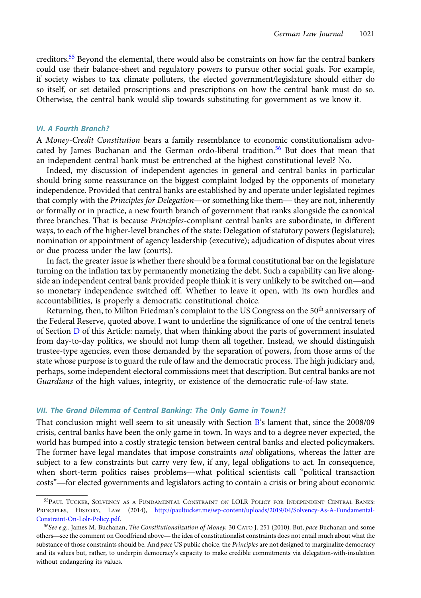creditors.<sup>55</sup> Beyond the elemental, there would also be constraints on how far the central bankers could use their balance-sheet and regulatory powers to pursue other social goals. For example, if society wishes to tax climate polluters, the elected government/legislature should either do so itself, or set detailed proscriptions and prescriptions on how the central bank must do so. Otherwise, the central bank would slip towards substituting for government as we know it.

## VI. A Fourth Branch?

A Money-Credit Constitution bears a family resemblance to economic constitutionalism advocated by James Buchanan and the German ordo-liberal tradition.<sup>56</sup> But does that mean that an independent central bank must be entrenched at the highest constitutional level? No.

Indeed, my discussion of independent agencies in general and central banks in particular should bring some reassurance on the biggest complaint lodged by the opponents of monetary independence. Provided that central banks are established by and operate under legislated regimes Indeed, my discussion of independent agencies in general and central banks in particular<br>should bring some reassurance on the biggest complaint lodged by the opponents of monetary<br>independence. Provided that central banks or formally or in practice, a new fourth branch of government that ranks alongside the canonical three branches. That is because Principles-compliant central banks are subordinate, in different ways, to each of the higher-level branches of the state: Delegation of statutory powers (legislature); nomination or appointment of agency leadership (executive); adjudication of disputes about vires or due process under the law (courts).

In fact, the greater issue is whether there should be a formal constitutional bar on the legislature turning on the inflation tax by permanently monetizing the debt. Such a capability can live alongside an independent central bank provided people think it is very unlikely to be switched on—and so monetary independence switched off. Whether to leave it open, with its own hurdles and accountabilities, is properly a democratic constitutional choice.

Returning, then, to Milton Friedman's complaint to the US Congress on the  $50^{\rm th}$  anniversary of the Federal Reserve, quoted above. I want to underline the significance of one of the central tenets of Section [D](#page-8-0) of this Article: namely, that when thinking about the parts of government insulated from day-to-day politics, we should not lump them all together. Instead, we should distinguish trustee-type agencies, even those demanded by the separation of powers, from those arms of the state whose purpose is to guard the rule of law and the democratic process. The high judiciary and, perhaps, some independent electoral commissions meet that description. But central banks are not Guardians of the high values, integrity, or existence of the democratic rule-of-law state.

## VII. The Grand Dilemma of Central Banking: The Only Game in Town?!

That conclusion might well seem to sit uneasily with Section [B](#page-2-0)'s lament that, since the 2008/09 crisis, central banks have been the only game in town. In ways and to a degree never expected, the world has bumped into a costly strategic tension between central banks and elected policymakers. The former have legal mandates that impose constraints *and* obligations, whereas the latter are subject to a few constraints but carry very few, if any, legal obligations to act. In consequence, crisis, central banks have been the only game in town. In ways and to a degree never expected, the<br>world has bumped into a costly strategic tension between central banks and elected policymakers.<br>The former have legal mand world has bumped into a costly strategic tension between central banks and elected policymakers.<br>The former have legal mandates that impose constraints *and* obligations, whereas the latter are<br>subject to a few constraints

<sup>55</sup>PAUL TUCKER, SOLVENCY AS A FUNDAMENTAL CONSTRAINT ON LOLR POLICY FOR INDEPENDENT CENTRAL BANKS: PRINCIPLES, HISTORY, LAW (2014), [http://paultucker.me/wp-content/uploads/2019/04/Solvency-As-A-Fundamental-](http://paultucker.me/wp-content/uploads/2019/04/Solvency-As-A-Fundamental-Constraint-On-Lolr-Policy.pdf)[Constraint-On-Lolr-Policy.pdf](http://paultucker.me/wp-content/uploads/2019/04/Solvency-As-A-Fundamental-Constraint-On-Lolr-Policy.pdf). PRINCIPLES, HISTORY, LAW (2014), http://paultucker.me/wp-content/uploads/2019/04/Solvency-As-A-Fundamental-Constraint-On-Lolr-Policy.pdf.<br>
<sup>56</sup>See e.g., James M. Buchanan, *The Constitutionalization of Money*, 30 CATO J. 2

<sup>&</sup>lt;sup>56</sup>See e.g., James M. Buchanan, *The Constitutionalization of Money*, 30 CATO J. 251 (2010). But, *pace* Buchanan and some substance of those constraints should be. And pace US public choice, the Principles are not designed to marginalize democracy and its values but, rather, to underpin democracy's capacity to make credible commitments via delegation-with-insulation without endangering its values.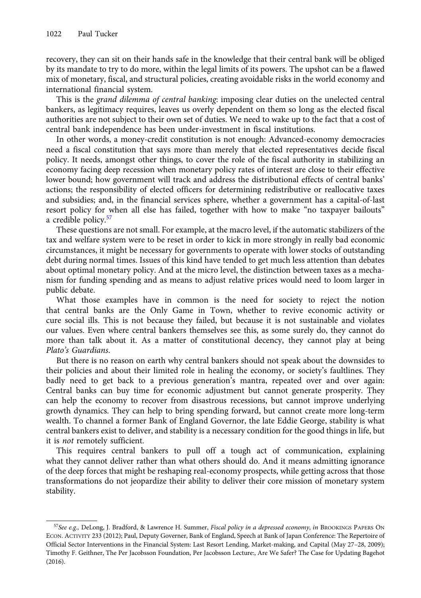recovery, they can sit on their hands safe in the knowledge that their central bank will be obliged by its mandate to try to do more, within the legal limits of its powers. The upshot can be a flawed mix of monetary, fiscal, and structural policies, creating avoidable risks in the world economy and international financial system.

This is the grand dilemma of central banking: imposing clear duties on the unelected central bankers, as legitimacy requires, leaves us overly dependent on them so long as the elected fiscal authorities are not subject to their own set of duties. We need to wake up to the fact that a cost of central bank independence has been under-investment in fiscal institutions.

In other words, a money-credit constitution is not enough: Advanced-economy democracies need a fiscal constitution that says more than merely that elected representatives decide fiscal policy. It needs, amongst other things, to cover the role of the fiscal authority in stabilizing an economy facing deep recession when monetary policy rates of interest are close to their effective lower bound; how government will track and address the distributional effects of central banks' actions; the responsibility of elected officers for determining redistributive or reallocative taxes and subsidies; and, in the financial services sphere, whether a government has a capital-of-last resort policy for when all else has failed, together with how to make "no taxpayer bailouts" a credible policy.<sup>57</sup>

These questions are not small. For example, at the macro level, if the automatic stabilizers of the tax and welfare system were to be reset in order to kick in more strongly in really bad economic circumstances, it might be necessary for governments to operate with lower stocks of outstanding debt during normal times. Issues of this kind have tended to get much less attention than debates about optimal monetary policy. And at the micro level, the distinction between taxes as a mechanism for funding spending and as means to adjust relative prices would need to loom larger in public debate.

What those examples have in common is the need for society to reject the notion that central banks are the Only Game in Town, whether to revive economic activity or cure social ills. This is not because they failed, but because it is not sustainable and violates our values. Even where central bankers themselves see this, as some surely do, they cannot do more than talk about it. As a matter of constitutional decency, they cannot play at being Plato's Guardians.

But there is no reason on earth why central bankers should not speak about the downsides to their policies and about their limited role in healing the economy, or society's faultlines. They badly need to get back to a previous generation's mantra, repeated over and over again: Central banks can buy time for economic adjustment but cannot generate prosperity. They can help the economy to recover from disastrous recessions, but cannot improve underlying growth dynamics. They can help to bring spending forward, but cannot create more long-term wealth. To channel a former Bank of England Governor, the late Eddie George, stability is what central bankers exist to deliver, and stability is a necessary condition for the good things in life, but it is not remotely sufficient.

This requires central bankers to pull off a tough act of communication, explaining what they cannot deliver rather than what others should do. And it means admitting ignorance of the deep forces that might be reshaping real-economy prospects, while getting across that those transformations do not jeopardize their ability to deliver their core mission of monetary system stability.

<sup>57</sup>See e.g., DeLong, J. Bradford, & Lawrence H. Summer, Fiscal policy in a depressed economy, in BROOKINGS PAPERS ON ECON. ACTIVITY 233 (2012); Paul, Deputy Governer, Bank of England, Speech at Bank of Japan Conference: The Repertoire of Official Sector Interventions in the Financial System: Last Resort Lending, Market-making, and Capital (May 27–28, 2009); Timothy F. Geithner, The Per Jacobsson Foundation, Per Jacobsson Lecture:, Are We Safer? The Case for Updating Bagehot (2016).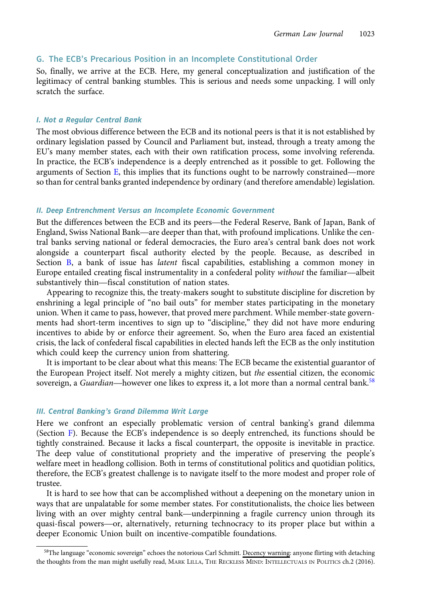## <span id="page-24-0"></span>G. The ECB's Precarious Position in an Incomplete Constitutional Order

So, finally, we arrive at the ECB. Here, my general conceptualization and justification of the legitimacy of central banking stumbles. This is serious and needs some unpacking. I will only scratch the surface.

#### I. Not a Regular Central Bank

The most obvious difference between the ECB and its notional peers is that it is not established by ordinary legislation passed by Council and Parliament but, instead, through a treaty among the EU's many member states, each with their own ratification process, some involving referenda. In practice, the ECB's independence is a deeply entrenched as it possible to get. Following the The most obvious difference between the ECB and its notional peers is that it is not established by ordinary legislation passed by Council and Parliament but, instead, through a treaty among the EU's many member states, ea so than for central banks granted independence by ordinary (and therefore amendable) legislation.

## II. Deep Entrenchment Versus an Incomplete Economic Government

so man for central banks granted independence by ordinary (and therefore amendable) legislation.<br>II. Deep Entrenchment Versus an Incomplete Economic Government<br>But the differences between the ECB and its peers—the Federal II. Deep Entrenchment Versus an Incomplete Economic Government<br>But the differences between the ECB and its peers—the Federal Reserve, Bank of Japan, Bank of<br>England, Swiss National Bank—are deeper than that, with profound tral banks serving national or federal democracies, the Euro area's central bank does not work alongside a counterpart fiscal authority elected by the people. Because, as described in Section [B,](#page-2-0) a bank of issue has *latent* fiscal capabilities, establishing a common money in England, Swiss National Bahk—are deeper than that, with protound implications. Onlike the central banks serving national or federal democracies, the Euro area's central bank does not work alongside a counterpart fiscal aut ral banks serving national or lederal democracies, the<br>alongside a counterpart fiscal authority elected by<br>Section B, a bank of issue has *latent* fiscal capabil<br>Europe entailed creating fiscal instrumentality in a con<br>sub

Appearing to recognize this, the treaty-makers sought to substitute discipline for discretion by enshrining a legal principle of "no bail outs" for member states participating in the monetary union. When it came to pass, however, that proved mere parchment. While member-state governments had short-term incentives to sign up to "discipline," they did not have more enduring incentives to abide by or enforce their agreement. So, when the Euro area faced an existential crisis, the lack of confederal fiscal capabilities in elected hands left the ECB as the only institution which could keep the currency union from shattering.

It is important to be clear about what this means: The ECB became the existential guarantor of the European Project itself. Not merely a mighty citizen, but *the* essential citizen, the economic crisis, the lack of confederal fiscal capabilities in elected hands left the ECB as the only institution<br>which could keep the currency union from shattering.<br>It is important to be clear about what this means: The ECB becam

## III. Central Banking's Grand Dilemma Writ Large

Here we confront an especially problematic version of central banking's grand dilemma (Section [F](#page-18-0)). Because the ECB's independence is so deeply entrenched, its functions should be tightly constrained. Because it lacks a fiscal counterpart, the opposite is inevitable in practice. The deep value of constitutional propriety and the imperative of preserving the people's welfare meet in headlong collision. Both in terms of constitutional politics and quotidian politics, therefore, the ECB's greatest challenge is to navigate itself to the more modest and proper role of trustee.

It is hard to see how that can be accomplished without a deepening on the monetary union in ways that are unpalatable for some member states. For constitutionalists, the choice lies between therefore, the ECB s greatest challenge is to havigate itself to the more modest and proper role of<br>trustee.<br>It is hard to see how that can be accomplished without a deepening on the monetary union in<br>ways that are unpalat It is hard to see how that can be accomplished without a deepening on the monetary union in<br>ways that are unpalatable for some member states. For constitutionalists, the choice lies between<br>living with an over mighty centr deeper Economic Union built on incentive-compatible foundations.

<sup>58</sup>The language "economic sovereign" echoes the notorious Carl Schmitt. Decency warning: anyone flirting with detaching the thoughts from the man might usefully read, MARK LILLA, THE RECKLESS MIND: INTELLECTUALS IN POLITICS ch.2 (2016).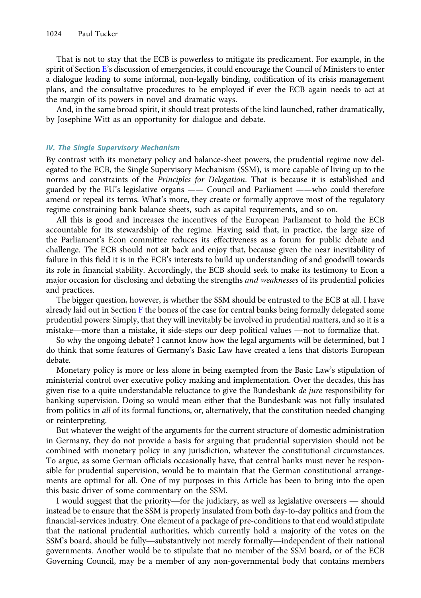That is not to stay that the ECB is powerless to mitigate its predicament. For example, in the spirit of Section [E](#page-13-0)'s discussion of emergencies, it could encourage the Council of Ministers to enter a dialogue leading to some informal, non-legally binding, codification of its crisis management plans, and the consultative procedures to be employed if ever the ECB again needs to act at the margin of its powers in novel and dramatic ways.

And, in the same broad spirit, it should treat protests of the kind launched, rather dramatically, by Josephine Witt as an opportunity for dialogue and debate.

## IV. The Single Supervisory Mechanism

By contrast with its monetary policy and balance-sheet powers, the prudential regime now delegated to the ECB, the Single Supervisory Mechanism (SSM), is more capable of living up to the norms and constraints of the Principles for Delegation. That is because it is established and guarded by the EU's legislative organs —— Council and Parliament ——who could therefore amend or repeal its terms. What's more, they create or formally approve most of the regulatory regime constraining bank balance sheets, such as capital requirements, and so on.

All this is good and increases the incentives of the European Parliament to hold the ECB accountable for its stewardship of the regime. Having said that, in practice, the large size of the Parliament's Econ committee reduces its effectiveness as a forum for public debate and challenge. The ECB should not sit back and enjoy that, because given the near inevitability of failure in this field it is in the ECB's interests to build up understanding of and goodwill towards its role in financial stability. Accordingly, the ECB should seek to make its testimony to Econ a major occasion for disclosing and debating the strengths *and weaknesses* of its prudential policies and practices.

The bigger question, however, is whether the SSM should be entrusted to the ECB at all. I have already laid out in Section  $F$  the bones of the case for central banks being formally delegated some prudential powers: Simply, that they will inevitably be involved in prudential matters, and so it is a and practices.<br>The bigger question, however, is whether the SSM should be entrusted to the ECB at all. I have already laid out in Section F the bones of the case for central banks being formally delegated son prudential po

So why the ongoing debate? I cannot know how the legal arguments will be determined, but I do think that some features of Germany's Basic Law have created a lens that distorts European debate.

Monetary policy is more or less alone in being exempted from the Basic Law's stipulation of ministerial control over executive policy making and implementation. Over the decades, this has given rise to a quite understandable reluctance to give the Bundesbank *de jure* responsibility for banking supervision. Doing so would mean either that the Bundesbank was not fully insulated from politics in all of its formal functions, or, alternatively, that the constitution needed changing or reinterpreting.

But whatever the weight of the arguments for the current structure of domestic administration in Germany, they do not provide a basis for arguing that prudential supervision should not be combined with monetary policy in any jurisdiction, whatever the constitutional circumstances. To argue, as some German officials occasionally have, that central banks must never be responsible for prudential supervision, would be to maintain that the German constitutional arrangements are optimal for all. One of my purposes in this Article has been to bring into the open this basic driver of some commentary on the SSM.

I would suggest that the priority—for the judiciary, as well as legislative overseers — should instead be to ensure that the SSM is properly insulated from both day-to-day politics and from the financial-services industry. One element of a package of pre-conditions to that end would stipulate that the national prudential authorities, which currently hold a majority of the votes on the I would suggest that the priority—for the judiciary, as well as legislative overseers — should<br>instead be to ensure that the SSM is properly insulated from both day-to-day politics and from the<br>financial-services industry. governments. Another would be to stipulate that no member of the SSM board, or of the ECB Governing Council, may be a member of any non-governmental body that contains members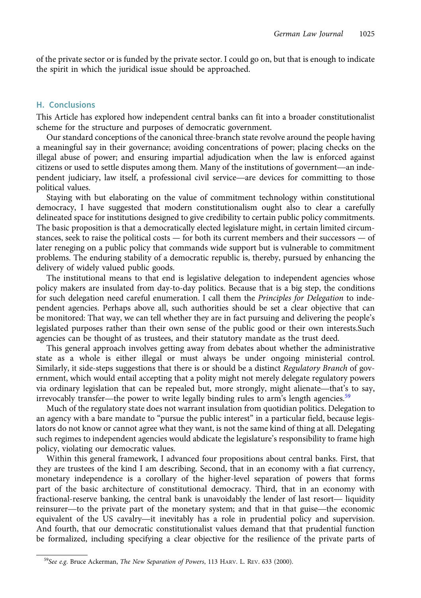of the private sector or is funded by the private sector. I could go on, but that is enough to indicate the spirit in which the juridical issue should be approached.

#### H. Conclusions

This Article has explored how independent central banks can fit into a broader constitutionalist scheme for the structure and purposes of democratic government.

Our standard conceptions of the canonical three-branch state revolve around the people having a meaningful say in their governance; avoiding concentrations of power; placing checks on the illegal abuse of power; and ensuring impartial adjudication when the law is enforced against scrieme for the structure and purposes of democratic government.<br>Our standard conceptions of the canonical three-branch state revolve around the people having<br>a meaningful say in their governance; avoiding concentrations o beind the people in aving a meaningful say in their governance; avoiding concentrations of power; placing checks on the illegal abuse of power; and ensuring impartial adjudication when the law is enforced against citizens political values.

Staying with but elaborating on the value of commitment technology within constitutional democracy, I have suggested that modern constitutionalism ought also to clear a carefully delineated space for institutions designed to give credibility to certain public policy commitments. The basic proposition is that a democratically elected legislature might, in certain limited circumstances, seek to raise the political costs — for both its current members and their successors — of later reneging on a public policy that commands wide support but is vulnerable to commitment problems. The enduring stability of a democratic republic is, thereby, pursued by enhancing the delivery of widely valued public goods.

The institutional means to that end is legislative delegation to independent agencies whose policy makers are insulated from day-to-day politics. Because that is a big step, the conditions for such delegation need careful enumeration. I call them the Principles for Delegation to independent agencies. Perhaps above all, such authorities should be set a clear objective that can be monitored: That way, we can tell whether they are in fact pursuing and delivering the people's legislated purposes rather than their own sense of the public good or their own interests.Such agencies can be thought of as trustees, and their statutory mandate as the trust deed.

This general approach involves getting away from debates about whether the administrative state as a whole is either illegal or must always be under ongoing ministerial control. Similarly, it side-steps suggestions that there is or should be a distinct Regulatory Branch of government, which would entail accepting that a polity might not merely delegate regulatory powers Ins general approach involves getting away from debates about whether the administrative<br>state as a whole is either illegal or must always be under ongoing ministerial control.<br>Similarly, it side-steps suggestions that the state as a whole is either lilegal or must always be under ongoing ministerial of<br>Similarly, it side-steps suggestions that there is or should be a distinct *Regulatory Branch*<br>ernment, which would entail accepting that a

Much of the regulatory state does not warrant insulation from quotidian politics. Delegation to an agency with a bare mandate to "pursue the public interest" in a particular field, because legislators do not know or cannot agree what they want, is not the same kind of thing at all. Delegating such regimes to independent agencies would abdicate the legislature's responsibility to frame high policy, violating our democratic values.

Within this general framework, I advanced four propositions about central banks. First, that they are trustees of the kind I am describing. Second, that in an economy with a fiat currency, monetary independence is a corollary of the higher-level separation of powers that forms part of the basic architecture of constitutional democracy. Third, that in an economy with within this general framework, I advanced four propositions about central banks. First, that<br>they are trustees of the kind I am describing. Second, that in an economy with a fiat currency,<br>monetary independence is a coroll reflux and the kind I am describing. Second, that in an economy with a hat currency,<br>monetary independence is a corollary of the higher-level separation of powers that forms<br>part of the basic architecture of constitutional monetary independence is a coronary of the higher-level separation of powers that forms<br>part of the basic architecture of constitutional democracy. Third, that in an economy with<br>fractional-reserve banking, the central ban And fourth, that our democratic constitutionalist values demand that that prudential function be formalized, including specifying a clear objective for the resilience of the private parts of

<sup>&</sup>lt;sup>59</sup>See e.g. Bruce Ackerman, The New Separation of Powers, 113 HARV. L. REV. 633 (2000).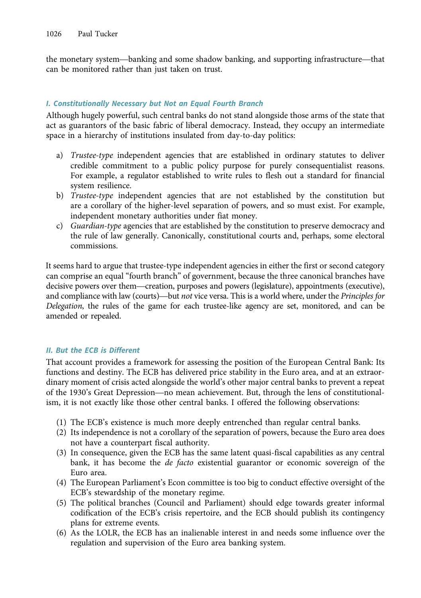the monetary system—banking and some shadow banking, and supporting infrastructure—that<br>the monetary system—banking and some shadow banking, and supporting infrastructure—that can be monitored rather than just taken on trust.

# I. Constitutionally Necessary but Not an Equal Fourth Branch

Although hugely powerful, such central banks do not stand alongside those arms of the state that act as guarantors of the basic fabric of liberal democracy. Instead, they occupy an intermediate space in a hierarchy of institutions insulated from day-to-day politics:

- a) Trustee-type independent agencies that are established in ordinary statutes to deliver credible commitment to a public policy purpose for purely consequentialist reasons. For example, a regulator established to write rules to flesh out a standard for financial system resilience.
- b) Trustee-type independent agencies that are not established by the constitution but are a corollary of the higher-level separation of powers, and so must exist. For example, independent monetary authorities under fiat money.
- c) Guardian-type agencies that are established by the constitution to preserve democracy and the rule of law generally. Canonically, constitutional courts and, perhaps, some electoral commissions.

It seems hard to argue that trustee-type independent agencies in either the first or second category can comprise an equal "fourth branch" of government, because the three canonical branches have decisive powers over them—creation, purposes and powers (legislature), appointments (executive), appointments (executive), appointments (executive), appointments (executive), appointments (executive), appointments (executi It seems hard to argue that trustee-type independent agencies in either the first or second category can comprise an equal "fourth branch" of government, because the three canonical branches have decisive powers over them— Delegation, the rules of the game for each trustee-like agency are set, monitored, and can be amended or repealed.

## II. But the ECB is Different

That account provides a framework for assessing the position of the European Central Bank: Its functions and destiny. The ECB has delivered price stability in the Euro area, and at an extraordinary moment of crisis acted alongside the world's other major central banks to prevent a repeat That account provides a framework for assessing the position of the European Central Bank: Its<br>functions and destiny. The ECB has delivered price stability in the Euro area, and at an extraor-<br>dinary moment of crisis acted ism, it is not exactly like those other central banks. I offered the following observations:

- (1) The ECB's existence is much more deeply entrenched than regular central banks.
- (2) Its independence is not a corollary of the separation of powers, because the Euro area does not have a counterpart fiscal authority.
- (3) In consequence, given the ECB has the same latent quasi-fiscal capabilities as any central bank, it has become the de facto existential guarantor or economic sovereign of the Euro area.
- (4) The European Parliament's Econ committee is too big to conduct effective oversight of the ECB's stewardship of the monetary regime.
- (5) The political branches (Council and Parliament) should edge towards greater informal codification of the ECB's crisis repertoire, and the ECB should publish its contingency plans for extreme events.
- (6) As the LOLR, the ECB has an inalienable interest in and needs some influence over the regulation and supervision of the Euro area banking system.